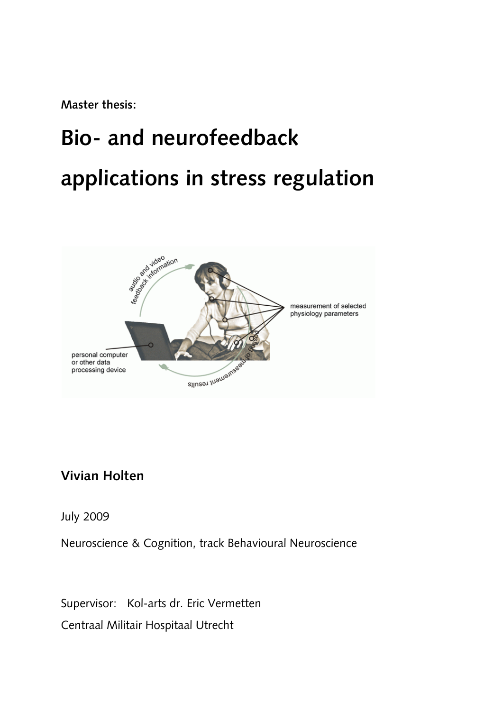**Master thesis:**

# **Bio- and neurofeedback applications in stress regulation**



## **Vivian Holten**

July 2009

Neuroscience & Cognition, track Behavioural Neuroscience

Supervisor:Kol-arts dr. Eric Vermetten Centraal Militair Hospitaal Utrecht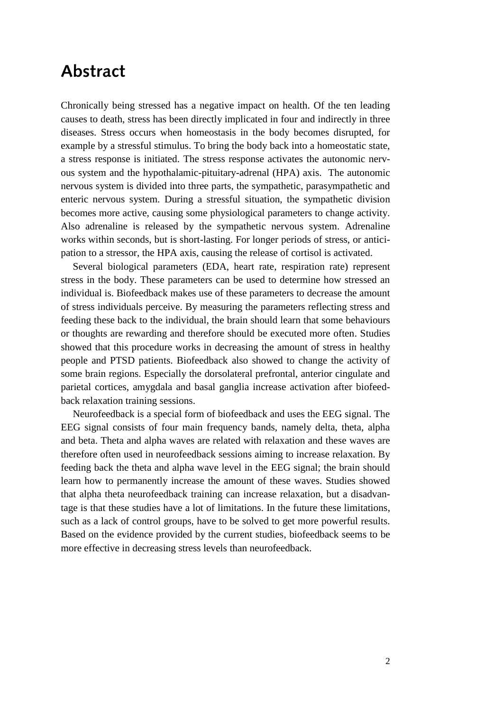## **Abstract**

Chronically being stressed has a negative impact on health. Of the ten leading causes to death, stress has been directly implicated in four and indirectly in three diseases. Stress occurs when homeostasis in the body becomes disrupted, for example by a stressful stimulus. To bring the body back into a homeostatic state, a stress response is initiated. The stress response activates the autonomic nervous system and the hypothalamic-pituitary-adrenal (HPA) axis. The autonomic nervous system is divided into three parts, the sympathetic, parasympathetic and enteric nervous system. During a stressful situation, the sympathetic division becomes more active, causing some physiological parameters to change activity. Also adrenaline is released by the sympathetic nervous system. Adrenaline works within seconds, but is short-lasting. For longer periods of stress, or anticipation to a stressor, the HPA axis, causing the release of cortisol is activated.

Several biological parameters (EDA, heart rate, respiration rate) represent stress in the body. These parameters can be used to determine how stressed an individual is. Biofeedback makes use of these parameters to decrease the amount of stress individuals perceive. By measuring the parameters reflecting stress and feeding these back to the individual, the brain should learn that some behaviours or thoughts are rewarding and therefore should be executed more often. Studies showed that this procedure works in decreasing the amount of stress in healthy people and PTSD patients. Biofeedback also showed to change the activity of some brain regions. Especially the dorsolateral prefrontal, anterior cingulate and parietal cortices, amygdala and basal ganglia increase activation after biofeedback relaxation training sessions.

Neurofeedback is a special form of biofeedback and uses the EEG signal. The EEG signal consists of four main frequency bands, namely delta, theta, alpha and beta. Theta and alpha waves are related with relaxation and these waves are therefore often used in neurofeedback sessions aiming to increase relaxation. By feeding back the theta and alpha wave level in the EEG signal; the brain should learn how to permanently increase the amount of these waves. Studies showed that alpha theta neurofeedback training can increase relaxation, but a disadvantage is that these studies have a lot of limitations. In the future these limitations, such as a lack of control groups, have to be solved to get more powerful results. Based on the evidence provided by the current studies, biofeedback seems to be more effective in decreasing stress levels than neurofeedback.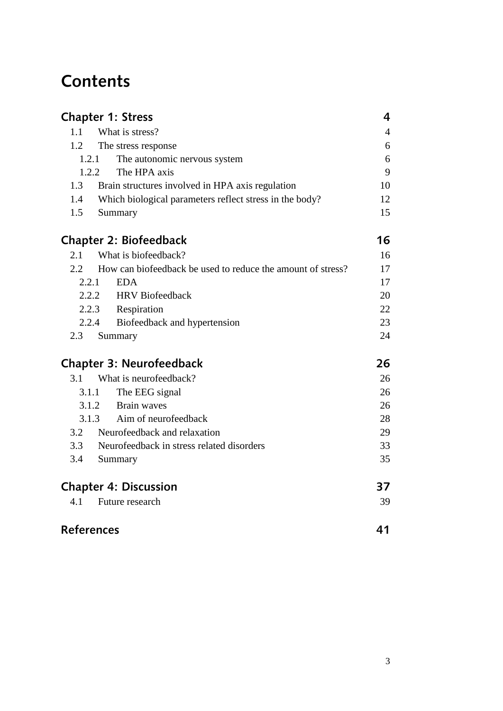# **Contents**

<span id="page-2-0"></span>

| <b>Chapter 1: Stress</b> |                                                             |                |
|--------------------------|-------------------------------------------------------------|----------------|
| 1.1                      | What is stress?                                             | $\overline{4}$ |
| 1.2                      | The stress response                                         | 6              |
| 1.2.1                    | The autonomic nervous system                                | 6              |
| 1.2.2                    | The HPA axis                                                | 9              |
| 1.3                      | Brain structures involved in HPA axis regulation            | 10             |
| 1.4                      | Which biological parameters reflect stress in the body?     | 12             |
| 1.5                      | Summary                                                     | 15             |
|                          | Chapter 2: Biofeedback                                      | 16             |
| 2.1                      | What is biofeedback?                                        | 16             |
| 2.2                      | How can biofeedback be used to reduce the amount of stress? | 17             |
| 2.2.1                    | <b>EDA</b>                                                  | 17             |
|                          | 2.2.2 HRV Biofeedback                                       | 20             |
|                          | 2.2.3 Respiration                                           | 22             |
|                          | Biofeedback and hypertension<br>2.2.4                       | 23             |
|                          | 2.3 Summary                                                 | 24             |
|                          | <b>Chapter 3: Neurofeedback</b>                             | 26             |
| 3.1                      | What is neurofeedback?                                      | 26             |
| 3.1.1                    | The EEG signal                                              | 26             |
|                          | Brain waves<br>3.1.2                                        | 26             |
| 3.1.3                    | Aim of neurofeedback                                        | 28             |
| 3.2                      | Neurofeedback and relaxation                                | 29             |
| 3.3                      | Neurofeedback in stress related disorders                   | 33             |
| 3.4                      | Summary                                                     | 35             |
|                          | <b>Chapter 4: Discussion</b>                                | 37             |
| 4.1                      | Future research                                             | 39             |
| References               |                                                             | 41             |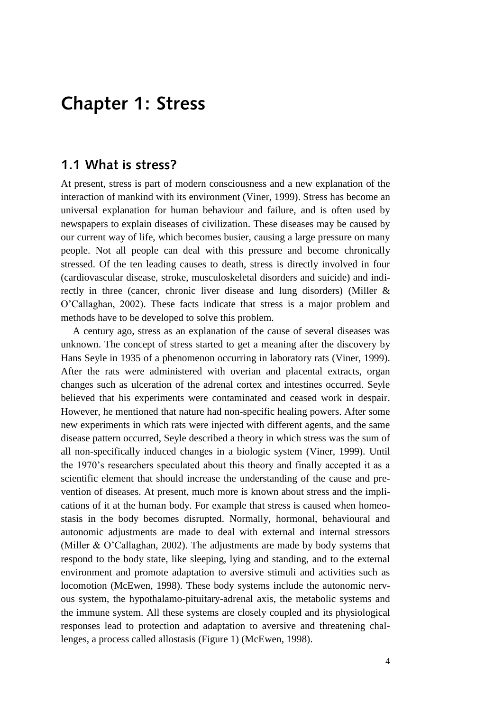## **Chapter 1: Stress**

#### <span id="page-3-0"></span>**1.1 What is stress?**

At present, stress is part of modern consciousness and a new explanation of the interaction of mankind with its environment (Viner, 1999). Stress has become an universal explanation for human behaviour and failure, and is often used by newspapers to explain diseases of civilization. These diseases may be caused by our current way of life, which becomes busier, causing a large pressure on many people. Not all people can deal with this pressure and become chronically stressed. Of the ten leading causes to death, stress is directly involved in four (cardiovascular disease, stroke, musculoskeletal disorders and suicide) and indirectly in three (cancer, chronic liver disease and lung disorders) (Miller & O"Callaghan, 2002). These facts indicate that stress is a major problem and methods have to be developed to solve this problem.

A century ago, stress as an explanation of the cause of several diseases was unknown. The concept of stress started to get a meaning after the discovery by Hans Seyle in 1935 of a phenomenon occurring in laboratory rats (Viner, 1999). After the rats were administered with overian and placental extracts, organ changes such as ulceration of the adrenal cortex and intestines occurred. Seyle believed that his experiments were contaminated and ceased work in despair. However, he mentioned that nature had non-specific healing powers. After some new experiments in which rats were injected with different agents, and the same disease pattern occurred, Seyle described a theory in which stress was the sum of all non-specifically induced changes in a biologic system (Viner, 1999). Until the 1970"s researchers speculated about this theory and finally accepted it as a scientific element that should increase the understanding of the cause and prevention of diseases. At present, much more is known about stress and the implications of it at the human body. For example that stress is caused when homeostasis in the body becomes disrupted. Normally, hormonal, behavioural and autonomic adjustments are made to deal with external and internal stressors (Miller & O"Callaghan, 2002). The adjustments are made by body systems that respond to the body state, like sleeping, lying and standing, and to the external environment and promote adaptation to aversive stimuli and activities such as locomotion (McEwen, 1998). These body systems include the autonomic nervous system, the hypothalamo-pituitary-adrenal axis, the metabolic systems and the immune system. All these systems are closely coupled and its physiological responses lead to protection and adaptation to aversive and threatening challenges, a process called allostasis (Figure 1) (McEwen, 1998).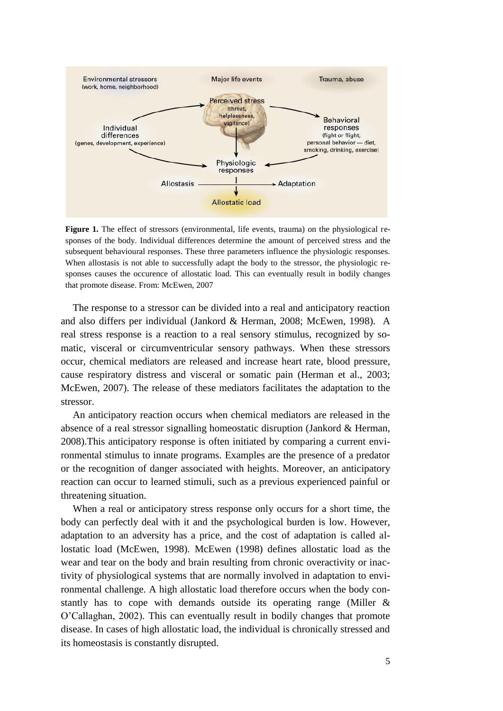

**Figure 1.** The effect of stressors (environmental, life events, trauma) on the physiological responses of the body. Individual differences determine the amount of perceived stress and the subsequent behavioural responses. These three parameters influence the physiologic responses. When allostasis is not able to successfully adapt the body to the stressor, the physiologic responses causes the occurence of allostatic load. This can eventually result in bodily changes that promote disease. From: McEwen, 2007

The response to a stressor can be divided into a real and anticipatory reaction and also differs per individual (Jankord & Herman, 2008; McEwen, 1998). A real stress response is a reaction to a real sensory stimulus, recognized by somatic, visceral or circumventricular sensory pathways. When these stressors occur, chemical mediators are released and increase heart rate, blood pressure, cause respiratory distress and visceral or somatic pain (Herman et al., 2003; McEwen, 2007). The release of these mediators facilitates the adaptation to the stressor.

An anticipatory reaction occurs when chemical mediators are released in the absence of a real stressor signalling homeostatic disruption (Jankord & Herman, 2008).This anticipatory response is often initiated by comparing a current environmental stimulus to innate programs. Examples are the presence of a predator or the recognition of danger associated with heights. Moreover, an anticipatory reaction can occur to learned stimuli, such as a previous experienced painful or threatening situation.

When a real or anticipatory stress response only occurs for a short time, the body can perfectly deal with it and the psychological burden is low. However, adaptation to an adversity has a price, and the cost of adaptation is called allostatic load (McEwen, 1998). McEwen (1998) defines allostatic load as the wear and tear on the body and brain resulting from chronic overactivity or inactivity of physiological systems that are normally involved in adaptation to environmental challenge. A high allostatic load therefore occurs when the body constantly has to cope with demands outside its operating range (Miller & O"Callaghan, 2002). This can eventually result in bodily changes that promote disease. In cases of high allostatic load, the individual is chronically stressed and its homeostasis is constantly disrupted.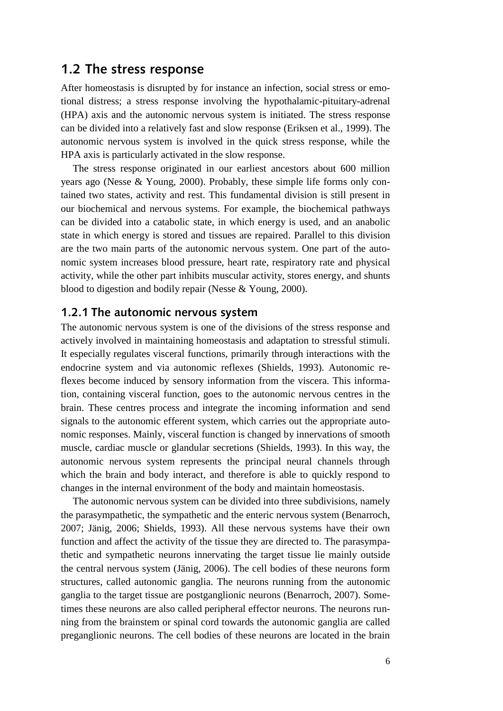#### <span id="page-5-0"></span>**1.2 The stress response**

After homeostasis is disrupted by for instance an infection, social stress or emotional distress; a stress response involving the hypothalamic-pituitary-adrenal (HPA) axis and the autonomic nervous system is initiated. The stress response can be divided into a relatively fast and slow response (Eriksen et al., 1999). The autonomic nervous system is involved in the quick stress response, while the HPA axis is particularly activated in the slow response.

The stress response originated in our earliest ancestors about 600 million years ago (Nesse & Young, 2000). Probably, these simple life forms only contained two states, activity and rest. This fundamental division is still present in our biochemical and nervous systems. For example, the biochemical pathways can be divided into a catabolic state, in which energy is used, and an anabolic state in which energy is stored and tissues are repaired. Parallel to this division are the two main parts of the autonomic nervous system. One part of the autonomic system increases blood pressure, heart rate, respiratory rate and physical activity, while the other part inhibits muscular activity, stores energy, and shunts blood to digestion and bodily repair (Nesse & Young, 2000).

#### <span id="page-5-1"></span>**1.2.1 The autonomic nervous system**

The autonomic nervous system is one of the divisions of the stress response and actively involved in maintaining homeostasis and adaptation to stressful stimuli. It especially regulates visceral functions, primarily through interactions with the endocrine system and via autonomic reflexes (Shields, 1993). Autonomic reflexes become induced by sensory information from the viscera. This information, containing visceral function, goes to the autonomic nervous centres in the brain. These centres process and integrate the incoming information and send signals to the autonomic efferent system, which carries out the appropriate autonomic responses. Mainly, visceral function is changed by innervations of smooth muscle, cardiac muscle or glandular secretions (Shields, 1993). In this way, the autonomic nervous system represents the principal neural channels through which the brain and body interact, and therefore is able to quickly respond to changes in the internal environment of the body and maintain homeostasis.

The autonomic nervous system can be divided into three subdivisions, namely the parasympathetic, the sympathetic and the enteric nervous system (Benarroch, 2007; Jänig, 2006; Shields, 1993). All these nervous systems have their own function and affect the activity of the tissue they are directed to. The parasympathetic and sympathetic neurons innervating the target tissue lie mainly outside the central nervous system (Jänig, 2006). The cell bodies of these neurons form structures, called autonomic ganglia. The neurons running from the autonomic ganglia to the target tissue are postganglionic neurons (Benarroch, 2007). Sometimes these neurons are also called peripheral effector neurons. The neurons running from the brainstem or spinal cord towards the autonomic ganglia are called preganglionic neurons. The cell bodies of these neurons are located in the brain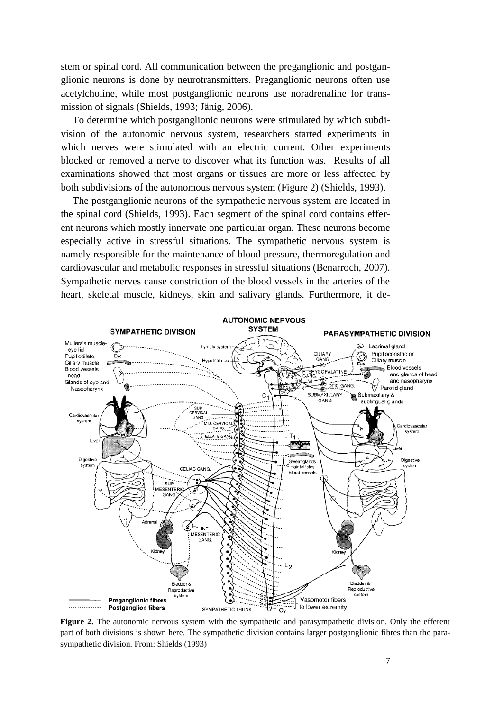stem or spinal cord. All communication between the preganglionic and postganglionic neurons is done by neurotransmitters. Preganglionic neurons often use acetylcholine, while most postganglionic neurons use noradrenaline for transmission of signals (Shields, 1993; Jänig, 2006).

To determine which postganglionic neurons were stimulated by which subdivision of the autonomic nervous system, researchers started experiments in which nerves were stimulated with an electric current. Other experiments blocked or removed a nerve to discover what its function was. Results of all examinations showed that most organs or tissues are more or less affected by both subdivisions of the autonomous nervous system (Figure 2) (Shields, 1993).

The postganglionic neurons of the sympathetic nervous system are located in the spinal cord (Shields, 1993). Each segment of the spinal cord contains efferent neurons which mostly innervate one particular organ. These neurons become especially active in stressful situations. The sympathetic nervous system is namely responsible for the maintenance of blood pressure, thermoregulation and cardiovascular and metabolic responses in stressful situations (Benarroch, 2007). Sympathetic nerves cause constriction of the blood vessels in the arteries of the heart, skeletal muscle, kidneys, skin and salivary glands. Furthermore, it de-



**Figure 2.** The autonomic nervous system with the sympathetic and parasympathetic division. Only the efferent part of both divisions is shown here. The sympathetic division contains larger postganglionic fibres than the parasympathetic division. From: Shields (1993)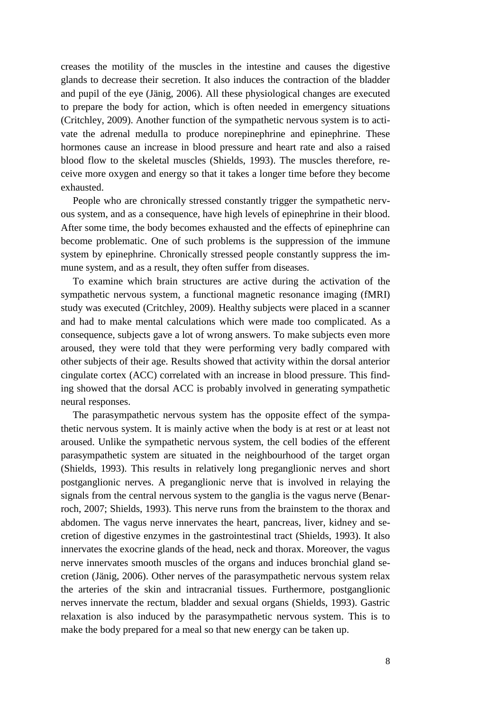creases the motility of the muscles in the intestine and causes the digestive glands to decrease their secretion. It also induces the contraction of the bladder and pupil of the eye (Jänig, 2006). All these physiological changes are executed to prepare the body for action, which is often needed in emergency situations (Critchley, 2009). Another function of the sympathetic nervous system is to activate the adrenal medulla to produce norepinephrine and epinephrine. These hormones cause an increase in blood pressure and heart rate and also a raised blood flow to the skeletal muscles (Shields, 1993). The muscles therefore, receive more oxygen and energy so that it takes a longer time before they become exhausted.

People who are chronically stressed constantly trigger the sympathetic nervous system, and as a consequence, have high levels of epinephrine in their blood. After some time, the body becomes exhausted and the effects of epinephrine can become problematic. One of such problems is the suppression of the immune system by epinephrine. Chronically stressed people constantly suppress the immune system, and as a result, they often suffer from diseases.

To examine which brain structures are active during the activation of the sympathetic nervous system, a functional magnetic resonance imaging (fMRI) study was executed (Critchley, 2009). Healthy subjects were placed in a scanner and had to make mental calculations which were made too complicated. As a consequence, subjects gave a lot of wrong answers. To make subjects even more aroused, they were told that they were performing very badly compared with other subjects of their age. Results showed that activity within the dorsal anterior cingulate cortex (ACC) correlated with an increase in blood pressure. This finding showed that the dorsal ACC is probably involved in generating sympathetic neural responses.

The parasympathetic nervous system has the opposite effect of the sympathetic nervous system. It is mainly active when the body is at rest or at least not aroused. Unlike the sympathetic nervous system, the cell bodies of the efferent parasympathetic system are situated in the neighbourhood of the target organ (Shields, 1993). This results in relatively long preganglionic nerves and short postganglionic nerves. A preganglionic nerve that is involved in relaying the signals from the central nervous system to the ganglia is the vagus nerve (Benarroch, 2007; Shields, 1993). This nerve runs from the brainstem to the thorax and abdomen. The vagus nerve innervates the heart, pancreas, liver, kidney and secretion of digestive enzymes in the gastrointestinal tract (Shields, 1993). It also innervates the exocrine glands of the head, neck and thorax. Moreover, the vagus nerve innervates smooth muscles of the organs and induces bronchial gland secretion (Jänig, 2006). Other nerves of the parasympathetic nervous system relax the arteries of the skin and intracranial tissues. Furthermore, postganglionic nerves innervate the rectum, bladder and sexual organs (Shields, 1993). Gastric relaxation is also induced by the parasympathetic nervous system. This is to make the body prepared for a meal so that new energy can be taken up.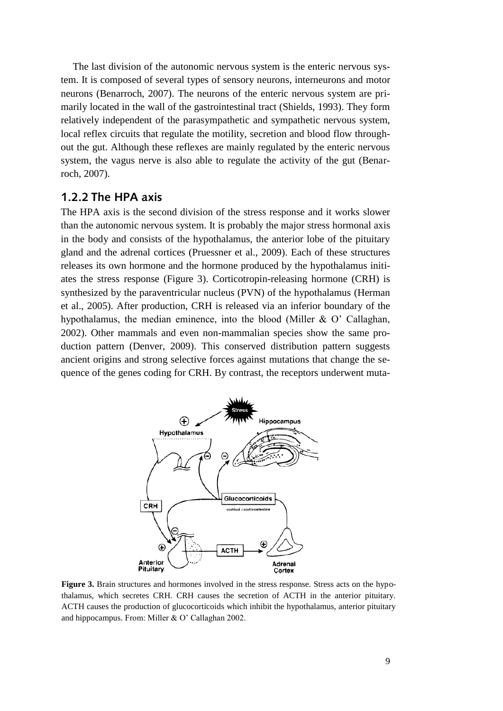The last division of the autonomic nervous system is the enteric nervous system. It is composed of several types of sensory neurons, interneurons and motor neurons (Benarroch, 2007). The neurons of the enteric nervous system are primarily located in the wall of the gastrointestinal tract (Shields, 1993). They form relatively independent of the parasympathetic and sympathetic nervous system, local reflex circuits that regulate the motility, secretion and blood flow throughout the gut. Although these reflexes are mainly regulated by the enteric nervous system, the vagus nerve is also able to regulate the activity of the gut (Benarroch, 2007).

#### <span id="page-8-0"></span>**1.2.2 The HPA axis**

The HPA axis is the second division of the stress response and it works slower than the autonomic nervous system. It is probably the major stress hormonal axis in the body and consists of the hypothalamus, the anterior lobe of the pituitary gland and the adrenal cortices (Pruessner et al., 2009). Each of these structures releases its own hormone and the hormone produced by the hypothalamus initiates the stress response (Figure 3). Corticotropin-releasing hormone (CRH) is synthesized by the paraventricular nucleus (PVN) of the hypothalamus (Herman et al., 2005). After production, CRH is released via an inferior boundary of the hypothalamus, the median eminence, into the blood (Miller & O" Callaghan, 2002). Other mammals and even non-mammalian species show the same production pattern (Denver, 2009). This conserved distribution pattern suggests ancient origins and strong selective forces against mutations that change the sequence of the genes coding for CRH. By contrast, the receptors underwent muta-



**Figure 3.** Brain structures and hormones involved in the stress response. Stress acts on the hypothalamus, which secretes CRH. CRH causes the secretion of ACTH in the anterior pituitary. ACTH causes the production of glucocorticoids which inhibit the hypothalamus, anterior pituitary and hippocampus. From: Miller & O" Callaghan 2002.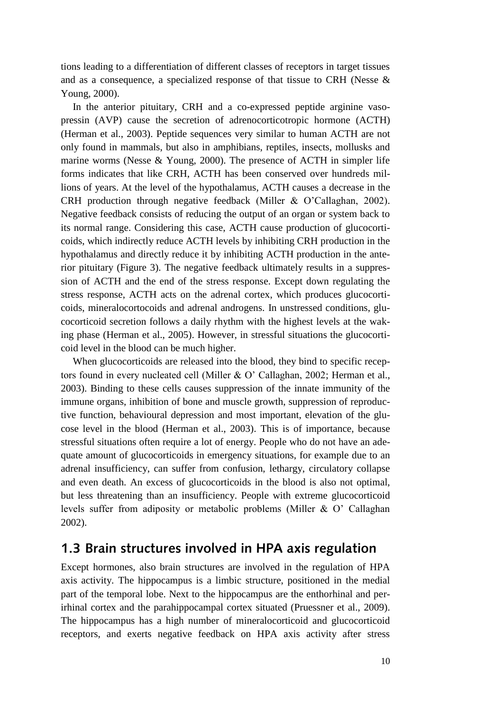tions leading to a differentiation of different classes of receptors in target tissues and as a consequence, a specialized response of that tissue to CRH (Nesse & Young, 2000).

In the anterior pituitary, CRH and a co-expressed peptide arginine vasopressin (AVP) cause the secretion of adrenocorticotropic hormone (ACTH) (Herman et al., 2003). Peptide sequences very similar to human ACTH are not only found in mammals, but also in amphibians, reptiles, insects, mollusks and marine worms (Nesse & Young, 2000). The presence of ACTH in simpler life forms indicates that like CRH, ACTH has been conserved over hundreds millions of years. At the level of the hypothalamus, ACTH causes a decrease in the CRH production through negative feedback (Miller & O"Callaghan, 2002). Negative feedback consists of reducing the output of an organ or system back to its normal range. Considering this case, ACTH cause production of glucocorticoids, which indirectly reduce ACTH levels by inhibiting CRH production in the hypothalamus and directly reduce it by inhibiting ACTH production in the anterior pituitary (Figure 3). The negative feedback ultimately results in a suppression of ACTH and the end of the stress response. Except down regulating the stress response, ACTH acts on the adrenal cortex, which produces glucocorticoids, mineralocortocoids and adrenal androgens. In unstressed conditions, glucocorticoid secretion follows a daily rhythm with the highest levels at the waking phase (Herman et al., 2005). However, in stressful situations the glucocorticoid level in the blood can be much higher.

When glucocorticoids are released into the blood, they bind to specific receptors found in every nucleated cell (Miller & O" Callaghan, 2002; Herman et al., 2003). Binding to these cells causes suppression of the innate immunity of the immune organs, inhibition of bone and muscle growth, suppression of reproductive function, behavioural depression and most important, elevation of the glucose level in the blood (Herman et al., 2003). This is of importance, because stressful situations often require a lot of energy. People who do not have an adequate amount of glucocorticoids in emergency situations, for example due to an adrenal insufficiency, can suffer from confusion, lethargy, circulatory collapse and even death. An excess of glucocorticoids in the blood is also not optimal, but less threatening than an insufficiency. People with extreme glucocorticoid levels suffer from adiposity or metabolic problems (Miller & O" Callaghan 2002).

#### <span id="page-9-0"></span>**1.3 Brain structures involved in HPA axis regulation**

Except hormones, also brain structures are involved in the regulation of HPA axis activity. The hippocampus is a limbic structure, positioned in the medial part of the temporal lobe. Next to the hippocampus are the enthorhinal and perirhinal cortex and the parahippocampal cortex situated (Pruessner et al., 2009). The hippocampus has a high number of mineralocorticoid and glucocorticoid receptors, and exerts negative feedback on HPA axis activity after stress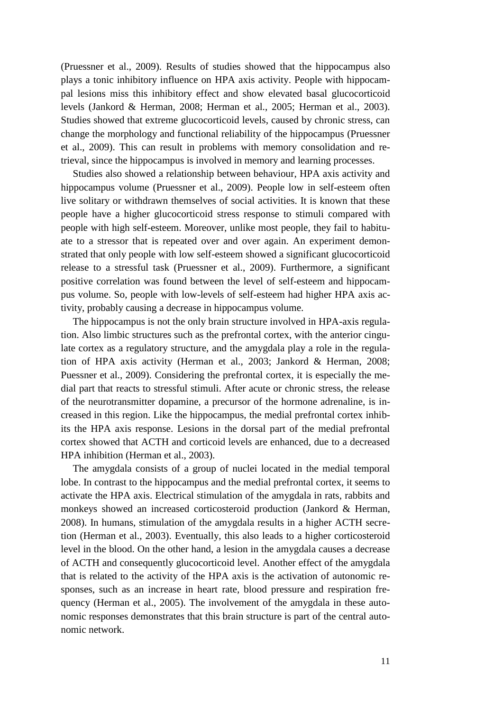(Pruessner et al., 2009). Results of studies showed that the hippocampus also plays a tonic inhibitory influence on HPA axis activity. People with hippocampal lesions miss this inhibitory effect and show elevated basal glucocorticoid levels (Jankord & Herman, 2008; Herman et al., 2005; Herman et al., 2003). Studies showed that extreme glucocorticoid levels, caused by chronic stress, can change the morphology and functional reliability of the hippocampus (Pruessner et al., 2009). This can result in problems with memory consolidation and retrieval, since the hippocampus is involved in memory and learning processes.

Studies also showed a relationship between behaviour, HPA axis activity and hippocampus volume (Pruessner et al., 2009). People low in self-esteem often live solitary or withdrawn themselves of social activities. It is known that these people have a higher glucocorticoid stress response to stimuli compared with people with high self-esteem. Moreover, unlike most people, they fail to habituate to a stressor that is repeated over and over again. An experiment demonstrated that only people with low self-esteem showed a significant glucocorticoid release to a stressful task (Pruessner et al., 2009). Furthermore, a significant positive correlation was found between the level of self-esteem and hippocampus volume. So, people with low-levels of self-esteem had higher HPA axis activity, probably causing a decrease in hippocampus volume.

The hippocampus is not the only brain structure involved in HPA-axis regulation. Also limbic structures such as the prefrontal cortex, with the anterior cingulate cortex as a regulatory structure, and the amygdala play a role in the regulation of HPA axis activity (Herman et al., 2003; Jankord & Herman, 2008; Puessner et al., 2009). Considering the prefrontal cortex, it is especially the medial part that reacts to stressful stimuli. After acute or chronic stress, the release of the neurotransmitter dopamine, a precursor of the hormone adrenaline, is increased in this region. Like the hippocampus, the medial prefrontal cortex inhibits the HPA axis response. Lesions in the dorsal part of the medial prefrontal cortex showed that ACTH and corticoid levels are enhanced, due to a decreased HPA inhibition (Herman et al., 2003).

The amygdala consists of a group of nuclei located in the medial temporal lobe. In contrast to the hippocampus and the medial prefrontal cortex, it seems to activate the HPA axis. Electrical stimulation of the amygdala in rats, rabbits and monkeys showed an increased corticosteroid production (Jankord & Herman, 2008). In humans, stimulation of the amygdala results in a higher ACTH secretion (Herman et al., 2003). Eventually, this also leads to a higher corticosteroid level in the blood. On the other hand, a lesion in the amygdala causes a decrease of ACTH and consequently glucocorticoid level. Another effect of the amygdala that is related to the activity of the HPA axis is the activation of autonomic responses, such as an increase in heart rate, blood pressure and respiration frequency (Herman et al., 2005). The involvement of the amygdala in these autonomic responses demonstrates that this brain structure is part of the central autonomic network.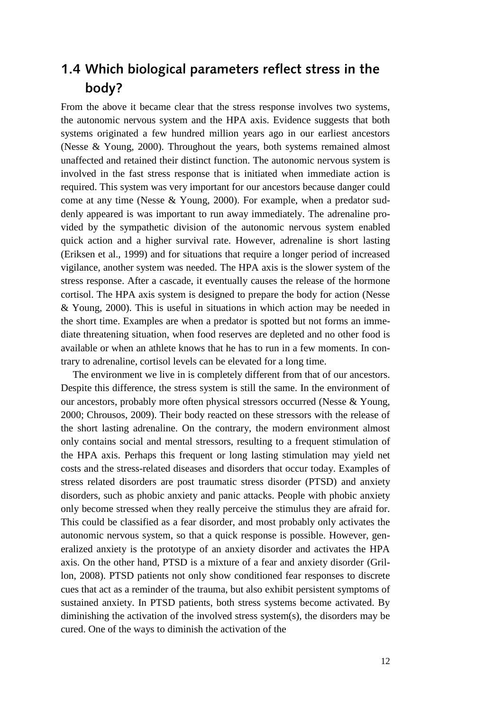## <span id="page-11-0"></span>**1.4 Which biological parameters reflect stress in the body?**

From the above it became clear that the stress response involves two systems, the autonomic nervous system and the HPA axis. Evidence suggests that both systems originated a few hundred million years ago in our earliest ancestors (Nesse & Young, 2000). Throughout the years, both systems remained almost unaffected and retained their distinct function. The autonomic nervous system is involved in the fast stress response that is initiated when immediate action is required. This system was very important for our ancestors because danger could come at any time (Nesse & Young, 2000). For example, when a predator suddenly appeared is was important to run away immediately. The adrenaline provided by the sympathetic division of the autonomic nervous system enabled quick action and a higher survival rate. However, adrenaline is short lasting (Eriksen et al., 1999) and for situations that require a longer period of increased vigilance, another system was needed. The HPA axis is the slower system of the stress response. After a cascade, it eventually causes the release of the hormone cortisol. The HPA axis system is designed to prepare the body for action (Nesse & Young, 2000). This is useful in situations in which action may be needed in the short time. Examples are when a predator is spotted but not forms an immediate threatening situation, when food reserves are depleted and no other food is available or when an athlete knows that he has to run in a few moments. In contrary to adrenaline, cortisol levels can be elevated for a long time.

The environment we live in is completely different from that of our ancestors. Despite this difference, the stress system is still the same. In the environment of our ancestors, probably more often physical stressors occurred (Nesse & Young, 2000; Chrousos, 2009). Their body reacted on these stressors with the release of the short lasting adrenaline. On the contrary, the modern environment almost only contains social and mental stressors, resulting to a frequent stimulation of the HPA axis. Perhaps this frequent or long lasting stimulation may yield net costs and the stress-related diseases and disorders that occur today. Examples of stress related disorders are post traumatic stress disorder (PTSD) and anxiety disorders, such as phobic anxiety and panic attacks. People with phobic anxiety only become stressed when they really perceive the stimulus they are afraid for. This could be classified as a fear disorder, and most probably only activates the autonomic nervous system, so that a quick response is possible. However, generalized anxiety is the prototype of an anxiety disorder and activates the HPA axis. On the other hand, PTSD is a mixture of a fear and anxiety disorder (Grillon, 2008). PTSD patients not only show conditioned fear responses to discrete cues that act as a reminder of the trauma, but also exhibit persistent symptoms of sustained anxiety. In PTSD patients, both stress systems become activated. By diminishing the activation of the involved stress system(s), the disorders may be cured. One of the ways to diminish the activation of the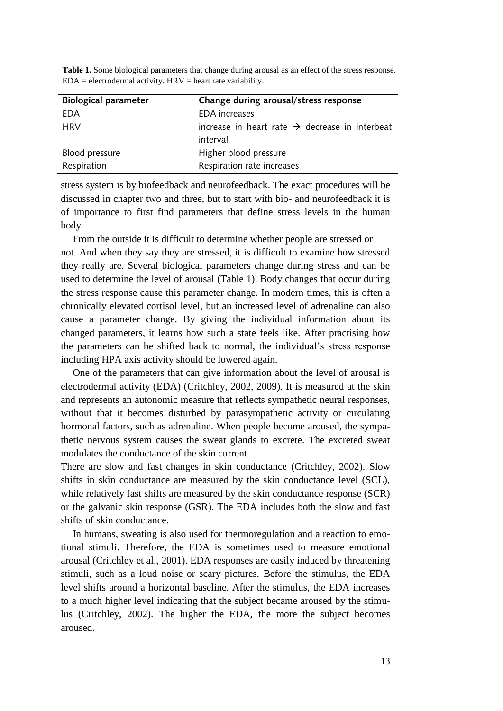| <b>Biological parameter</b> | Change during arousal/stress response                      |  |
|-----------------------------|------------------------------------------------------------|--|
| EDA                         | <b>EDA</b> increases                                       |  |
| <b>HRV</b>                  | increase in heart rate $\rightarrow$ decrease in interbeat |  |
|                             | interval                                                   |  |
| Blood pressure              | Higher blood pressure                                      |  |
| Respiration                 | Respiration rate increases                                 |  |

**Table 1.** Some biological parameters that change during arousal as an effect of the stress response.  $EDA =$  electrodermal activity. HRV = heart rate variability.

stress system is by biofeedback and neurofeedback. The exact procedures will be discussed in chapter two and three, but to start with bio- and neurofeedback it is of importance to first find parameters that define stress levels in the human body.

From the outside it is difficult to determine whether people are stressed or not. And when they say they are stressed, it is difficult to examine how stressed they really are. Several biological parameters change during stress and can be used to determine the level of arousal (Table 1). Body changes that occur during the stress response cause this parameter change. In modern times, this is often a chronically elevated cortisol level, but an increased level of adrenaline can also cause a parameter change. By giving the individual information about its changed parameters, it learns how such a state feels like. After practising how the parameters can be shifted back to normal, the individual"s stress response including HPA axis activity should be lowered again.

One of the parameters that can give information about the level of arousal is electrodermal activity (EDA) (Critchley, 2002, 2009). It is measured at the skin and represents an autonomic measure that reflects sympathetic neural responses, without that it becomes disturbed by parasympathetic activity or circulating hormonal factors, such as adrenaline. When people become aroused, the sympathetic nervous system causes the sweat glands to excrete. The excreted sweat modulates the conductance of the skin current.

There are slow and fast changes in skin conductance (Critchley, 2002). Slow shifts in skin conductance are measured by the skin conductance level (SCL), while relatively fast shifts are measured by the skin conductance response (SCR) or the galvanic skin response (GSR). The EDA includes both the slow and fast shifts of skin conductance.

In humans, sweating is also used for thermoregulation and a reaction to emotional stimuli. Therefore, the EDA is sometimes used to measure emotional arousal (Critchley et al., 2001). EDA responses are easily induced by threatening stimuli, such as a loud noise or scary pictures. Before the stimulus, the EDA level shifts around a horizontal baseline. After the stimulus, the EDA increases to a much higher level indicating that the subject became aroused by the stimulus (Critchley, 2002). The higher the EDA, the more the subject becomes aroused.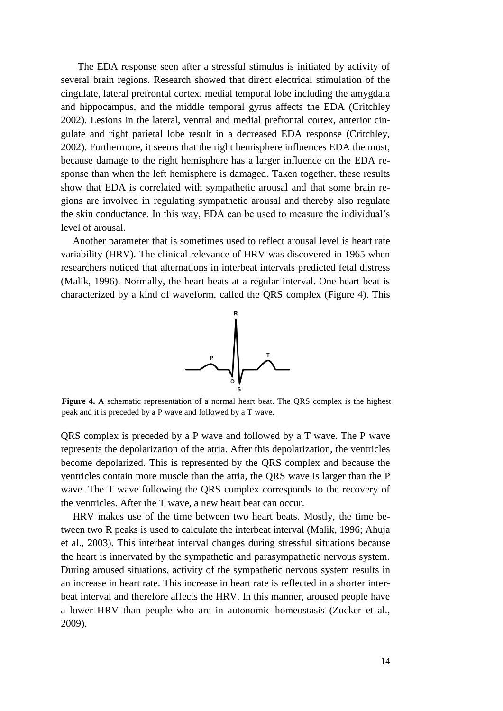The EDA response seen after a stressful stimulus is initiated by activity of several brain regions. Research showed that direct electrical stimulation of the cingulate, lateral prefrontal cortex, medial temporal lobe including the amygdala and hippocampus, and the middle temporal gyrus affects the EDA (Critchley 2002). Lesions in the lateral, ventral and medial prefrontal cortex, anterior cingulate and right parietal lobe result in a decreased EDA response (Critchley, 2002). Furthermore, it seems that the right hemisphere influences EDA the most, because damage to the right hemisphere has a larger influence on the EDA response than when the left hemisphere is damaged. Taken together, these results show that EDA is correlated with sympathetic arousal and that some brain regions are involved in regulating sympathetic arousal and thereby also regulate the skin conductance. In this way, EDA can be used to measure the individual"s level of arousal.

Another parameter that is sometimes used to reflect arousal level is heart rate variability (HRV). The clinical relevance of HRV was discovered in 1965 when researchers noticed that alternations in interbeat intervals predicted fetal distress (Malik, 1996). Normally, the heart beats at a regular interval. One heart beat is characterized by a kind of waveform, called the QRS complex (Figure 4). This



**Figure 4.** A schematic representation of a normal heart beat. The QRS complex is the highest peak and it is preceded by a P wave and followed by a T wave.

QRS complex is preceded by a P wave and followed by a T wave. The P wave represents the depolarization of the atria. After this depolarization, the ventricles become depolarized. This is represented by the QRS complex and because the ventricles contain more muscle than the atria, the QRS wave is larger than the P wave. The T wave following the QRS complex corresponds to the recovery of the ventricles. After the T wave, a new heart beat can occur.

HRV makes use of the time between two heart beats. Mostly, the time between two R peaks is used to calculate the interbeat interval (Malik, 1996; Ahuja et al., 2003). This interbeat interval changes during stressful situations because the heart is innervated by the sympathetic and parasympathetic nervous system. During aroused situations, activity of the sympathetic nervous system results in an increase in heart rate. This increase in heart rate is reflected in a shorter interbeat interval and therefore affects the HRV. In this manner, aroused people have a lower HRV than people who are in autonomic homeostasis (Zucker et al., 2009).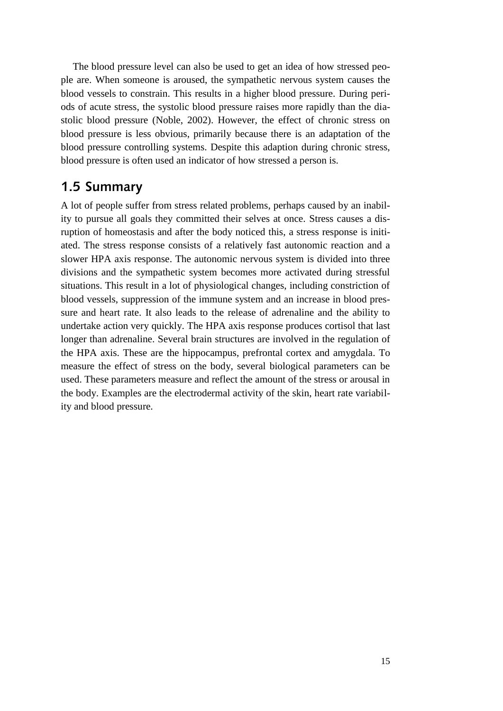The blood pressure level can also be used to get an idea of how stressed people are. When someone is aroused, the sympathetic nervous system causes the blood vessels to constrain. This results in a higher blood pressure. During periods of acute stress, the systolic blood pressure raises more rapidly than the diastolic blood pressure (Noble, 2002). However, the effect of chronic stress on blood pressure is less obvious, primarily because there is an adaptation of the blood pressure controlling systems. Despite this adaption during chronic stress, blood pressure is often used an indicator of how stressed a person is.

#### <span id="page-14-0"></span>**1.5 Summary**

<span id="page-14-1"></span>A lot of people suffer from stress related problems, perhaps caused by an inability to pursue all goals they committed their selves at once. Stress causes a disruption of homeostasis and after the body noticed this, a stress response is initiated. The stress response consists of a relatively fast autonomic reaction and a slower HPA axis response. The autonomic nervous system is divided into three divisions and the sympathetic system becomes more activated during stressful situations. This result in a lot of physiological changes, including constriction of blood vessels, suppression of the immune system and an increase in blood pressure and heart rate. It also leads to the release of adrenaline and the ability to undertake action very quickly. The HPA axis response produces cortisol that last longer than adrenaline. Several brain structures are involved in the regulation of the HPA axis. These are the hippocampus, prefrontal cortex and amygdala. To measure the effect of stress on the body, several biological parameters can be used. These parameters measure and reflect the amount of the stress or arousal in the body. Examples are the electrodermal activity of the skin, heart rate variability and blood pressure.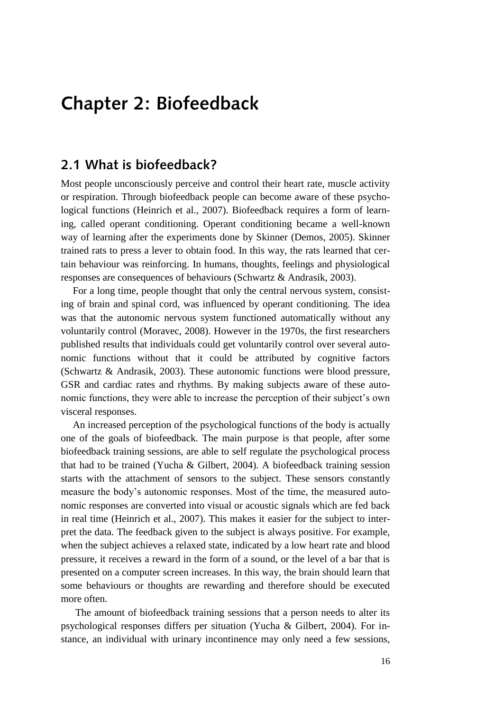# **Chapter 2: Biofeedback**

#### <span id="page-15-0"></span>**2.1 What is biofeedback?**

Most people unconsciously perceive and control their heart rate, muscle activity or respiration. Through biofeedback people can become aware of these psychological functions (Heinrich et al., 2007). Biofeedback requires a form of learning, called operant conditioning. Operant conditioning became a well-known way of learning after the experiments done by Skinner (Demos, 2005). Skinner trained rats to press a lever to obtain food. In this way, the rats learned that certain behaviour was reinforcing. In humans, thoughts, feelings and physiological responses are consequences of behaviours (Schwartz & Andrasik, 2003).

For a long time, people thought that only the central nervous system, consisting of brain and spinal cord, was influenced by operant conditioning. The idea was that the autonomic nervous system functioned automatically without any voluntarily control (Moravec, 2008). However in the 1970s, the first researchers published results that individuals could get voluntarily control over several autonomic functions without that it could be attributed by cognitive factors (Schwartz & Andrasik, 2003). These autonomic functions were blood pressure, GSR and cardiac rates and rhythms. By making subjects aware of these autonomic functions, they were able to increase the perception of their subject's own visceral responses.

An increased perception of the psychological functions of the body is actually one of the goals of biofeedback. The main purpose is that people, after some biofeedback training sessions, are able to self regulate the psychological process that had to be trained (Yucha & Gilbert, 2004). A biofeedback training session starts with the attachment of sensors to the subject. These sensors constantly measure the body"s autonomic responses. Most of the time, the measured autonomic responses are converted into visual or acoustic signals which are fed back in real time (Heinrich et al., 2007). This makes it easier for the subject to interpret the data. The feedback given to the subject is always positive. For example, when the subject achieves a relaxed state, indicated by a low heart rate and blood pressure, it receives a reward in the form of a sound, or the level of a bar that is presented on a computer screen increases. In this way, the brain should learn that some behaviours or thoughts are rewarding and therefore should be executed more often.

The amount of biofeedback training sessions that a person needs to alter its psychological responses differs per situation (Yucha & Gilbert, 2004). For instance, an individual with urinary incontinence may only need a few sessions,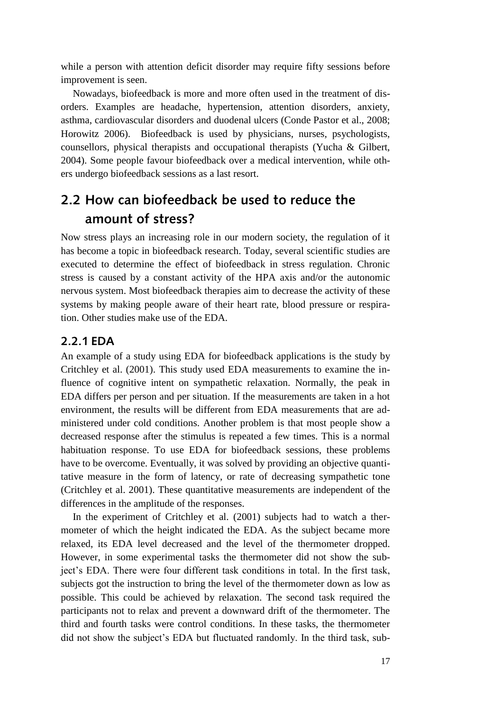while a person with attention deficit disorder may require fifty sessions before improvement is seen.

Nowadays, biofeedback is more and more often used in the treatment of disorders. Examples are headache, hypertension, attention disorders, anxiety, asthma, cardiovascular disorders and duodenal ulcers (Conde Pastor et al., 2008; Horowitz 2006). Biofeedback is used by physicians, nurses, psychologists, counsellors, physical therapists and occupational therapists (Yucha & Gilbert, 2004). Some people favour biofeedback over a medical intervention, while others undergo biofeedback sessions as a last resort.

## <span id="page-16-0"></span>**2.2 How can biofeedback be used to reduce the amount of stress?**

Now stress plays an increasing role in our modern society, the regulation of it has become a topic in biofeedback research. Today, several scientific studies are executed to determine the effect of biofeedback in stress regulation. Chronic stress is caused by a constant activity of the HPA axis and/or the autonomic nervous system. Most biofeedback therapies aim to decrease the activity of these systems by making people aware of their heart rate, blood pressure or respiration. Other studies make use of the EDA.

#### <span id="page-16-1"></span>**2.2.1 EDA**

An example of a study using EDA for biofeedback applications is the study by Critchley et al. (2001). This study used EDA measurements to examine the influence of cognitive intent on sympathetic relaxation. Normally, the peak in EDA differs per person and per situation. If the measurements are taken in a hot environment, the results will be different from EDA measurements that are administered under cold conditions. Another problem is that most people show a decreased response after the stimulus is repeated a few times. This is a normal habituation response. To use EDA for biofeedback sessions, these problems have to be overcome. Eventually, it was solved by providing an objective quantitative measure in the form of latency, or rate of decreasing sympathetic tone (Critchley et al. 2001). These quantitative measurements are independent of the differences in the amplitude of the responses.

In the experiment of Critchley et al. (2001) subjects had to watch a thermometer of which the height indicated the EDA. As the subject became more relaxed, its EDA level decreased and the level of the thermometer dropped. However, in some experimental tasks the thermometer did not show the subject's EDA. There were four different task conditions in total. In the first task, subjects got the instruction to bring the level of the thermometer down as low as possible. This could be achieved by relaxation. The second task required the participants not to relax and prevent a downward drift of the thermometer. The third and fourth tasks were control conditions. In these tasks, the thermometer did not show the subject's EDA but fluctuated randomly. In the third task, sub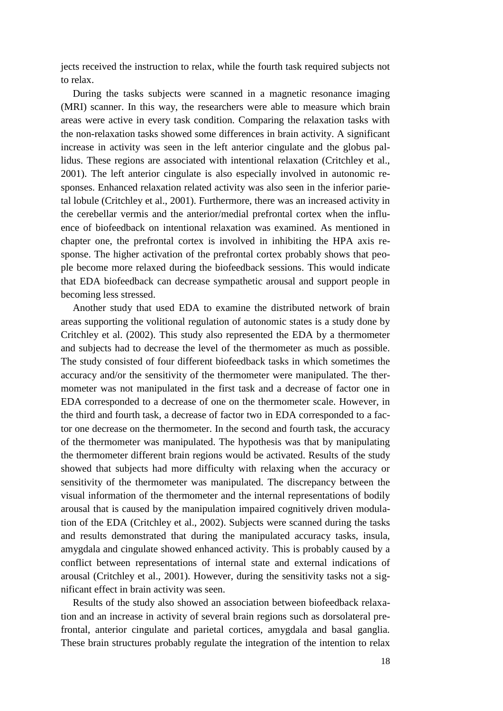jects received the instruction to relax, while the fourth task required subjects not to relax.

During the tasks subjects were scanned in a magnetic resonance imaging (MRI) scanner. In this way, the researchers were able to measure which brain areas were active in every task condition. Comparing the relaxation tasks with the non-relaxation tasks showed some differences in brain activity. A significant increase in activity was seen in the left anterior cingulate and the globus pallidus. These regions are associated with intentional relaxation (Critchley et al., 2001). The left anterior cingulate is also especially involved in autonomic responses. Enhanced relaxation related activity was also seen in the inferior parietal lobule (Critchley et al., 2001). Furthermore, there was an increased activity in the cerebellar vermis and the anterior/medial prefrontal cortex when the influence of biofeedback on intentional relaxation was examined. As mentioned in chapter one, the prefrontal cortex is involved in inhibiting the HPA axis response. The higher activation of the prefrontal cortex probably shows that people become more relaxed during the biofeedback sessions. This would indicate that EDA biofeedback can decrease sympathetic arousal and support people in becoming less stressed.

Another study that used EDA to examine the distributed network of brain areas supporting the volitional regulation of autonomic states is a study done by Critchley et al. (2002). This study also represented the EDA by a thermometer and subjects had to decrease the level of the thermometer as much as possible. The study consisted of four different biofeedback tasks in which sometimes the accuracy and/or the sensitivity of the thermometer were manipulated. The thermometer was not manipulated in the first task and a decrease of factor one in EDA corresponded to a decrease of one on the thermometer scale. However, in the third and fourth task, a decrease of factor two in EDA corresponded to a factor one decrease on the thermometer. In the second and fourth task, the accuracy of the thermometer was manipulated. The hypothesis was that by manipulating the thermometer different brain regions would be activated. Results of the study showed that subjects had more difficulty with relaxing when the accuracy or sensitivity of the thermometer was manipulated. The discrepancy between the visual information of the thermometer and the internal representations of bodily arousal that is caused by the manipulation impaired cognitively driven modulation of the EDA (Critchley et al., 2002). Subjects were scanned during the tasks and results demonstrated that during the manipulated accuracy tasks, insula, amygdala and cingulate showed enhanced activity. This is probably caused by a conflict between representations of internal state and external indications of arousal (Critchley et al., 2001). However, during the sensitivity tasks not a significant effect in brain activity was seen.

Results of the study also showed an association between biofeedback relaxation and an increase in activity of several brain regions such as dorsolateral prefrontal, anterior cingulate and parietal cortices, amygdala and basal ganglia. These brain structures probably regulate the integration of the intention to relax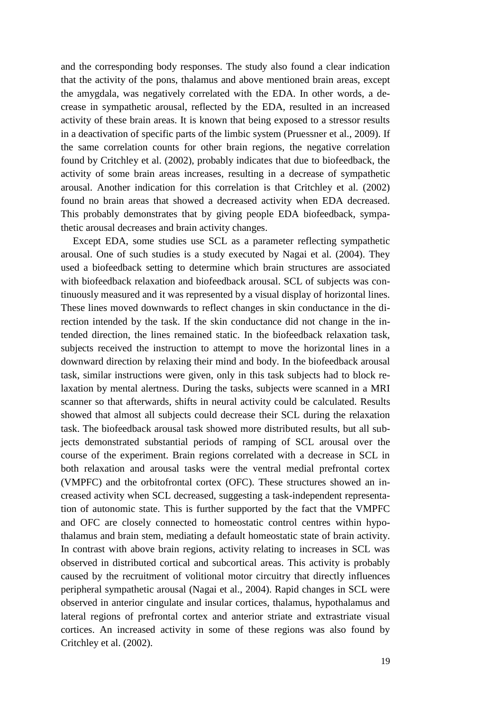and the corresponding body responses. The study also found a clear indication that the activity of the pons, thalamus and above mentioned brain areas, except the amygdala, was negatively correlated with the EDA. In other words, a decrease in sympathetic arousal, reflected by the EDA, resulted in an increased activity of these brain areas. It is known that being exposed to a stressor results in a deactivation of specific parts of the limbic system (Pruessner et al., 2009). If the same correlation counts for other brain regions, the negative correlation found by Critchley et al. (2002), probably indicates that due to biofeedback, the activity of some brain areas increases, resulting in a decrease of sympathetic arousal. Another indication for this correlation is that Critchley et al. (2002) found no brain areas that showed a decreased activity when EDA decreased. This probably demonstrates that by giving people EDA biofeedback, sympathetic arousal decreases and brain activity changes.

Except EDA, some studies use SCL as a parameter reflecting sympathetic arousal. One of such studies is a study executed by Nagai et al. (2004). They used a biofeedback setting to determine which brain structures are associated with biofeedback relaxation and biofeedback arousal. SCL of subjects was continuously measured and it was represented by a visual display of horizontal lines. These lines moved downwards to reflect changes in skin conductance in the direction intended by the task. If the skin conductance did not change in the intended direction, the lines remained static. In the biofeedback relaxation task, subjects received the instruction to attempt to move the horizontal lines in a downward direction by relaxing their mind and body. In the biofeedback arousal task, similar instructions were given, only in this task subjects had to block relaxation by mental alertness. During the tasks, subjects were scanned in a MRI scanner so that afterwards, shifts in neural activity could be calculated. Results showed that almost all subjects could decrease their SCL during the relaxation task. The biofeedback arousal task showed more distributed results, but all subjects demonstrated substantial periods of ramping of SCL arousal over the course of the experiment. Brain regions correlated with a decrease in SCL in both relaxation and arousal tasks were the ventral medial prefrontal cortex (VMPFC) and the orbitofrontal cortex (OFC). These structures showed an increased activity when SCL decreased, suggesting a task-independent representation of autonomic state. This is further supported by the fact that the VMPFC and OFC are closely connected to homeostatic control centres within hypothalamus and brain stem, mediating a default homeostatic state of brain activity. In contrast with above brain regions, activity relating to increases in SCL was observed in distributed cortical and subcortical areas. This activity is probably caused by the recruitment of volitional motor circuitry that directly influences peripheral sympathetic arousal (Nagai et al., 2004). Rapid changes in SCL were observed in anterior cingulate and insular cortices, thalamus, hypothalamus and lateral regions of prefrontal cortex and anterior striate and extrastriate visual cortices. An increased activity in some of these regions was also found by Critchley et al. (2002).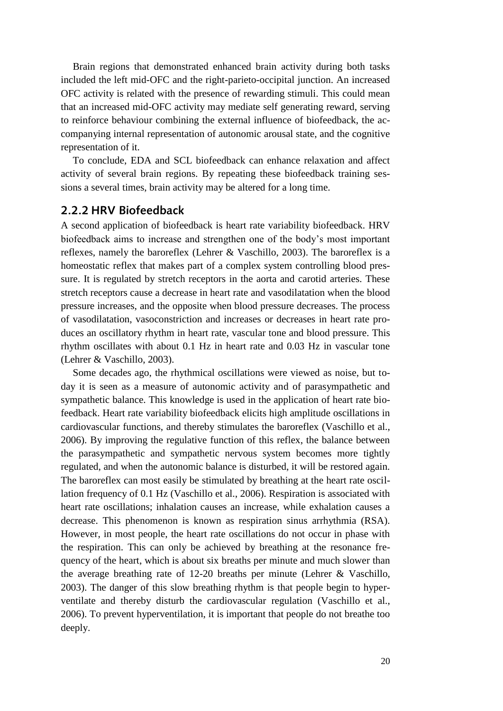Brain regions that demonstrated enhanced brain activity during both tasks included the left mid-OFC and the right-parieto-occipital junction. An increased OFC activity is related with the presence of rewarding stimuli. This could mean that an increased mid-OFC activity may mediate self generating reward, serving to reinforce behaviour combining the external influence of biofeedback, the accompanying internal representation of autonomic arousal state, and the cognitive representation of it.

To conclude, EDA and SCL biofeedback can enhance relaxation and affect activity of several brain regions. By repeating these biofeedback training sessions a several times, brain activity may be altered for a long time.

#### <span id="page-19-0"></span>**2.2.2 HRV Biofeedback**

A second application of biofeedback is heart rate variability biofeedback. HRV biofeedback aims to increase and strengthen one of the body"s most important reflexes, namely the baroreflex (Lehrer & Vaschillo, 2003). The baroreflex is a homeostatic reflex that makes part of a complex system controlling blood pressure. It is regulated by stretch receptors in the aorta and carotid arteries. These stretch receptors cause a decrease in heart rate and vasodilatation when the blood pressure increases, and the opposite when blood pressure decreases. The process of vasodilatation, vasoconstriction and increases or decreases in heart rate produces an oscillatory rhythm in heart rate, vascular tone and blood pressure. This rhythm oscillates with about 0.1 Hz in heart rate and 0.03 Hz in vascular tone (Lehrer & Vaschillo, 2003).

Some decades ago, the rhythmical oscillations were viewed as noise, but today it is seen as a measure of autonomic activity and of parasympathetic and sympathetic balance. This knowledge is used in the application of heart rate biofeedback. Heart rate variability biofeedback elicits high amplitude oscillations in cardiovascular functions, and thereby stimulates the baroreflex (Vaschillo et al., 2006). By improving the regulative function of this reflex, the balance between the parasympathetic and sympathetic nervous system becomes more tightly regulated, and when the autonomic balance is disturbed, it will be restored again. The baroreflex can most easily be stimulated by breathing at the heart rate oscillation frequency of 0.1 Hz (Vaschillo et al., 2006). Respiration is associated with heart rate oscillations; inhalation causes an increase, while exhalation causes a decrease. This phenomenon is known as respiration sinus arrhythmia (RSA). However, in most people, the heart rate oscillations do not occur in phase with the respiration. This can only be achieved by breathing at the resonance frequency of the heart, which is about six breaths per minute and much slower than the average breathing rate of 12-20 breaths per minute (Lehrer & Vaschillo, 2003). The danger of this slow breathing rhythm is that people begin to hyperventilate and thereby disturb the cardiovascular regulation (Vaschillo et al., 2006). To prevent hyperventilation, it is important that people do not breathe too deeply.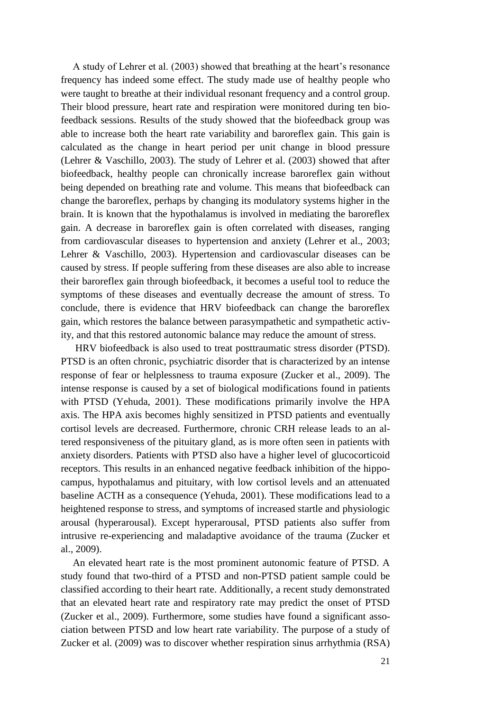A study of Lehrer et al. (2003) showed that breathing at the heart"s resonance frequency has indeed some effect. The study made use of healthy people who were taught to breathe at their individual resonant frequency and a control group. Their blood pressure, heart rate and respiration were monitored during ten biofeedback sessions. Results of the study showed that the biofeedback group was able to increase both the heart rate variability and baroreflex gain. This gain is calculated as the change in heart period per unit change in blood pressure (Lehrer & Vaschillo, 2003). The study of Lehrer et al. (2003) showed that after biofeedback, healthy people can chronically increase baroreflex gain without being depended on breathing rate and volume. This means that biofeedback can change the baroreflex, perhaps by changing its modulatory systems higher in the brain. It is known that the hypothalamus is involved in mediating the baroreflex gain. A decrease in baroreflex gain is often correlated with diseases, ranging from cardiovascular diseases to hypertension and anxiety (Lehrer et al., 2003; Lehrer & Vaschillo, 2003). Hypertension and cardiovascular diseases can be caused by stress. If people suffering from these diseases are also able to increase their baroreflex gain through biofeedback, it becomes a useful tool to reduce the symptoms of these diseases and eventually decrease the amount of stress. To conclude, there is evidence that HRV biofeedback can change the baroreflex gain, which restores the balance between parasympathetic and sympathetic activity, and that this restored autonomic balance may reduce the amount of stress.

HRV biofeedback is also used to treat posttraumatic stress disorder (PTSD). PTSD is an often chronic, psychiatric disorder that is characterized by an intense response of fear or helplessness to trauma exposure (Zucker et al., 2009). The intense response is caused by a set of biological modifications found in patients with PTSD (Yehuda, 2001). These modifications primarily involve the HPA axis. The HPA axis becomes highly sensitized in PTSD patients and eventually cortisol levels are decreased. Furthermore, chronic CRH release leads to an altered responsiveness of the pituitary gland, as is more often seen in patients with anxiety disorders. Patients with PTSD also have a higher level of glucocorticoid receptors. This results in an enhanced negative feedback inhibition of the hippocampus, hypothalamus and pituitary, with low cortisol levels and an attenuated baseline ACTH as a consequence (Yehuda, 2001). These modifications lead to a heightened response to stress, and symptoms of increased startle and physiologic arousal (hyperarousal). Except hyperarousal, PTSD patients also suffer from intrusive re-experiencing and maladaptive avoidance of the trauma (Zucker et al., 2009).

An elevated heart rate is the most prominent autonomic feature of PTSD. A study found that two-third of a PTSD and non-PTSD patient sample could be classified according to their heart rate. Additionally, a recent study demonstrated that an elevated heart rate and respiratory rate may predict the onset of PTSD (Zucker et al., 2009). Furthermore, some studies have found a significant association between PTSD and low heart rate variability. The purpose of a study of Zucker et al. (2009) was to discover whether respiration sinus arrhythmia (RSA)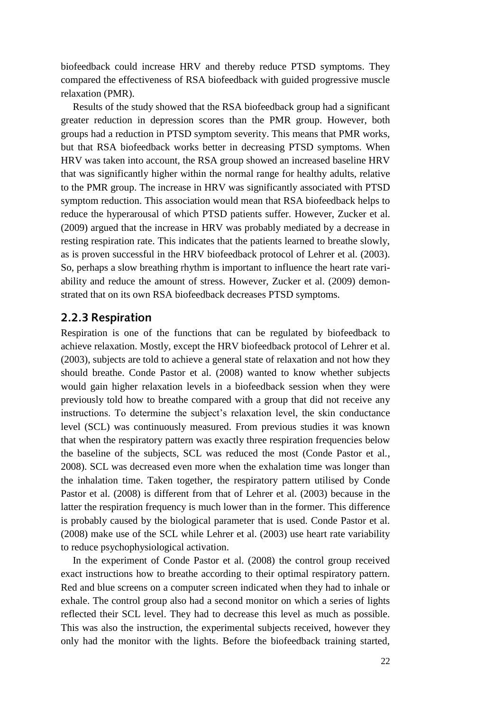biofeedback could increase HRV and thereby reduce PTSD symptoms. They compared the effectiveness of RSA biofeedback with guided progressive muscle relaxation (PMR).

Results of the study showed that the RSA biofeedback group had a significant greater reduction in depression scores than the PMR group. However, both groups had a reduction in PTSD symptom severity. This means that PMR works, but that RSA biofeedback works better in decreasing PTSD symptoms. When HRV was taken into account, the RSA group showed an increased baseline HRV that was significantly higher within the normal range for healthy adults, relative to the PMR group. The increase in HRV was significantly associated with PTSD symptom reduction. This association would mean that RSA biofeedback helps to reduce the hyperarousal of which PTSD patients suffer. However, Zucker et al. (2009) argued that the increase in HRV was probably mediated by a decrease in resting respiration rate. This indicates that the patients learned to breathe slowly, as is proven successful in the HRV biofeedback protocol of Lehrer et al. (2003). So, perhaps a slow breathing rhythm is important to influence the heart rate variability and reduce the amount of stress. However, Zucker et al. (2009) demonstrated that on its own RSA biofeedback decreases PTSD symptoms.

#### <span id="page-21-0"></span>**2.2.3 Respiration**

Respiration is one of the functions that can be regulated by biofeedback to achieve relaxation. Mostly, except the HRV biofeedback protocol of Lehrer et al. (2003), subjects are told to achieve a general state of relaxation and not how they should breathe. Conde Pastor et al. (2008) wanted to know whether subjects would gain higher relaxation levels in a biofeedback session when they were previously told how to breathe compared with a group that did not receive any instructions. To determine the subject's relaxation level, the skin conductance level (SCL) was continuously measured. From previous studies it was known that when the respiratory pattern was exactly three respiration frequencies below the baseline of the subjects, SCL was reduced the most (Conde Pastor et al., 2008). SCL was decreased even more when the exhalation time was longer than the inhalation time. Taken together, the respiratory pattern utilised by Conde Pastor et al. (2008) is different from that of Lehrer et al. (2003) because in the latter the respiration frequency is much lower than in the former. This difference is probably caused by the biological parameter that is used. Conde Pastor et al. (2008) make use of the SCL while Lehrer et al. (2003) use heart rate variability to reduce psychophysiological activation.

In the experiment of Conde Pastor et al. (2008) the control group received exact instructions how to breathe according to their optimal respiratory pattern. Red and blue screens on a computer screen indicated when they had to inhale or exhale. The control group also had a second monitor on which a series of lights reflected their SCL level. They had to decrease this level as much as possible. This was also the instruction, the experimental subjects received, however they only had the monitor with the lights. Before the biofeedback training started,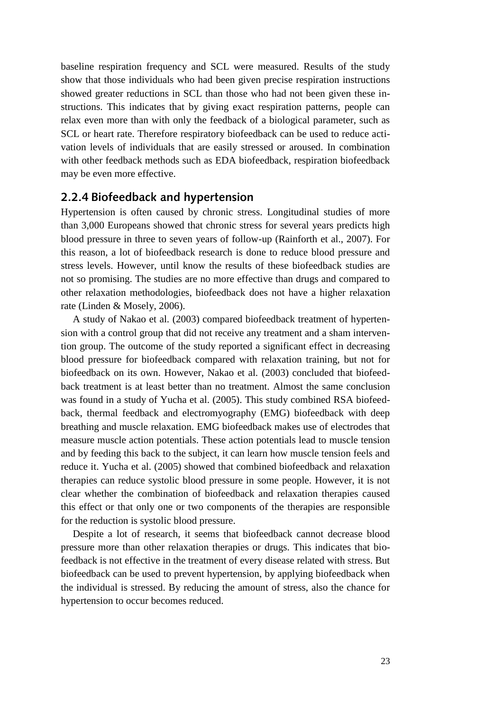baseline respiration frequency and SCL were measured. Results of the study show that those individuals who had been given precise respiration instructions showed greater reductions in SCL than those who had not been given these instructions. This indicates that by giving exact respiration patterns, people can relax even more than with only the feedback of a biological parameter, such as SCL or heart rate. Therefore respiratory biofeedback can be used to reduce activation levels of individuals that are easily stressed or aroused. In combination with other feedback methods such as EDA biofeedback, respiration biofeedback may be even more effective.

#### <span id="page-22-0"></span>**2.2.4 Biofeedback and hypertension**

Hypertension is often caused by chronic stress. Longitudinal studies of more than 3,000 Europeans showed that chronic stress for several years predicts high blood pressure in three to seven years of follow-up (Rainforth et al., 2007). For this reason, a lot of biofeedback research is done to reduce blood pressure and stress levels. However, until know the results of these biofeedback studies are not so promising. The studies are no more effective than drugs and compared to other relaxation methodologies, biofeedback does not have a higher relaxation rate (Linden & Mosely, 2006).

A study of Nakao et al. (2003) compared biofeedback treatment of hypertension with a control group that did not receive any treatment and a sham intervention group. The outcome of the study reported a significant effect in decreasing blood pressure for biofeedback compared with relaxation training, but not for biofeedback on its own. However, Nakao et al. (2003) concluded that biofeedback treatment is at least better than no treatment. Almost the same conclusion was found in a study of Yucha et al. (2005). This study combined RSA biofeedback, thermal feedback and electromyography (EMG) biofeedback with deep breathing and muscle relaxation. EMG biofeedback makes use of electrodes that measure muscle action potentials. These action potentials lead to muscle tension and by feeding this back to the subject, it can learn how muscle tension feels and reduce it. Yucha et al. (2005) showed that combined biofeedback and relaxation therapies can reduce systolic blood pressure in some people. However, it is not clear whether the combination of biofeedback and relaxation therapies caused this effect or that only one or two components of the therapies are responsible for the reduction is systolic blood pressure.

Despite a lot of research, it seems that biofeedback cannot decrease blood pressure more than other relaxation therapies or drugs. This indicates that biofeedback is not effective in the treatment of every disease related with stress. But biofeedback can be used to prevent hypertension, by applying biofeedback when the individual is stressed. By reducing the amount of stress, also the chance for hypertension to occur becomes reduced.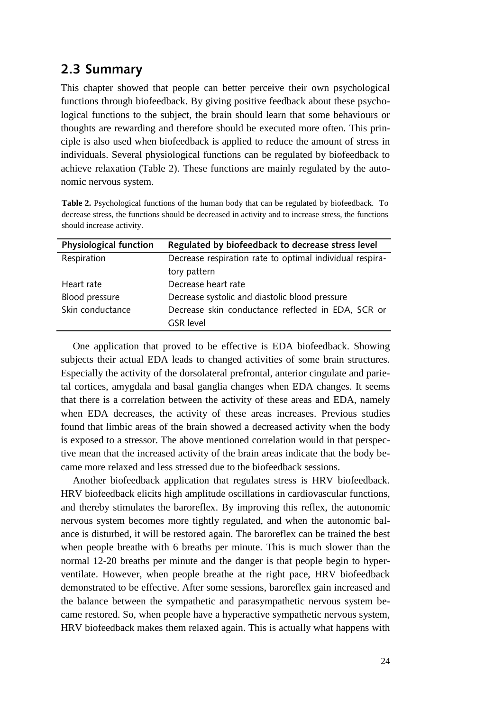#### <span id="page-23-0"></span>**2.3 Summary**

This chapter showed that people can better perceive their own psychological functions through biofeedback. By giving positive feedback about these psychological functions to the subject, the brain should learn that some behaviours or thoughts are rewarding and therefore should be executed more often. This principle is also used when biofeedback is applied to reduce the amount of stress in individuals. Several physiological functions can be regulated by biofeedback to achieve relaxation (Table 2). These functions are mainly regulated by the autonomic nervous system.

**Table 2.** Psychological functions of the human body that can be regulated by biofeedback. To decrease stress, the functions should be decreased in activity and to increase stress, the functions should increase activity.

| <b>Physiological function</b> | Regulated by biofeedback to decrease stress level        |  |
|-------------------------------|----------------------------------------------------------|--|
| Respiration                   | Decrease respiration rate to optimal individual respira- |  |
|                               | tory pattern                                             |  |
| Heart rate                    | Decrease heart rate                                      |  |
| Blood pressure                | Decrease systolic and diastolic blood pressure           |  |
| Skin conductance              | Decrease skin conductance reflected in EDA, SCR or       |  |
|                               | <b>GSR</b> level                                         |  |

One application that proved to be effective is EDA biofeedback. Showing subjects their actual EDA leads to changed activities of some brain structures. Especially the activity of the dorsolateral prefrontal, anterior cingulate and parietal cortices, amygdala and basal ganglia changes when EDA changes. It seems that there is a correlation between the activity of these areas and EDA, namely when EDA decreases, the activity of these areas increases. Previous studies found that limbic areas of the brain showed a decreased activity when the body is exposed to a stressor. The above mentioned correlation would in that perspective mean that the increased activity of the brain areas indicate that the body became more relaxed and less stressed due to the biofeedback sessions.

Another biofeedback application that regulates stress is HRV biofeedback. HRV biofeedback elicits high amplitude oscillations in cardiovascular functions, and thereby stimulates the baroreflex. By improving this reflex, the autonomic nervous system becomes more tightly regulated, and when the autonomic balance is disturbed, it will be restored again. The baroreflex can be trained the best when people breathe with 6 breaths per minute. This is much slower than the normal 12-20 breaths per minute and the danger is that people begin to hyperventilate. However, when people breathe at the right pace, HRV biofeedback demonstrated to be effective. After some sessions, baroreflex gain increased and the balance between the sympathetic and parasympathetic nervous system became restored. So, when people have a hyperactive sympathetic nervous system, HRV biofeedback makes them relaxed again. This is actually what happens with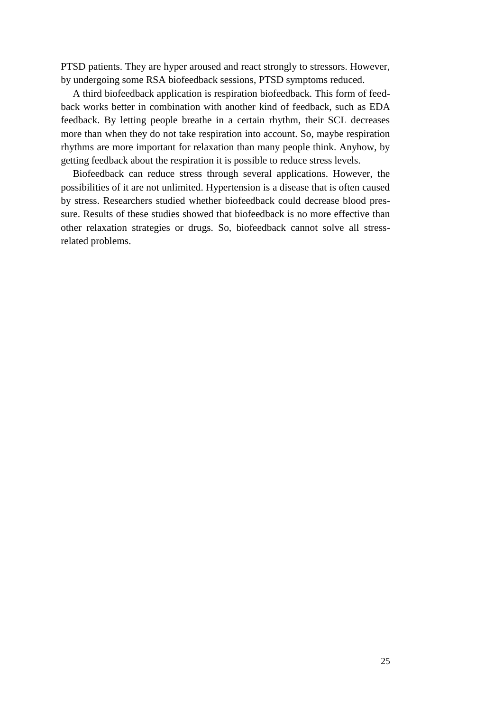PTSD patients. They are hyper aroused and react strongly to stressors. However, by undergoing some RSA biofeedback sessions, PTSD symptoms reduced.

A third biofeedback application is respiration biofeedback. This form of feedback works better in combination with another kind of feedback, such as EDA feedback. By letting people breathe in a certain rhythm, their SCL decreases more than when they do not take respiration into account. So, maybe respiration rhythms are more important for relaxation than many people think. Anyhow, by getting feedback about the respiration it is possible to reduce stress levels.

<span id="page-24-0"></span>Biofeedback can reduce stress through several applications. However, the possibilities of it are not unlimited. Hypertension is a disease that is often caused by stress. Researchers studied whether biofeedback could decrease blood pressure. Results of these studies showed that biofeedback is no more effective than other relaxation strategies or drugs. So, biofeedback cannot solve all stressrelated problems.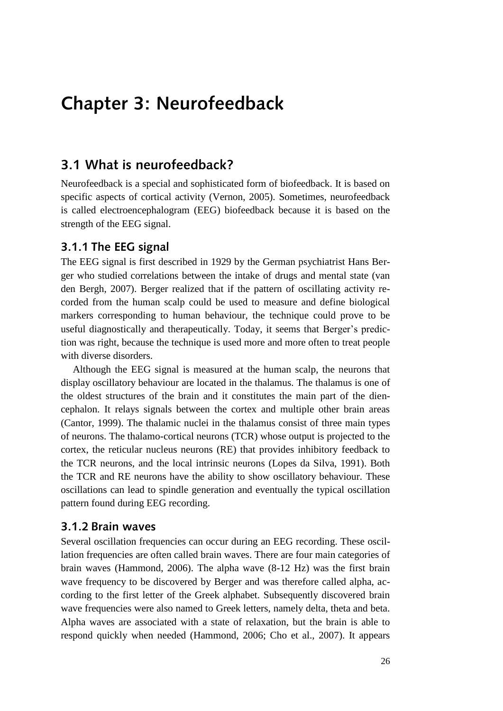# **Chapter 3: Neurofeedback**

#### <span id="page-25-0"></span>**3.1 What is neurofeedback?**

Neurofeedback is a special and sophisticated form of biofeedback. It is based on specific aspects of cortical activity (Vernon, 2005). Sometimes, neurofeedback is called electroencephalogram (EEG) biofeedback because it is based on the strength of the EEG signal.

#### <span id="page-25-1"></span>**3.1.1 The EEG signal**

The EEG signal is first described in 1929 by the German psychiatrist Hans Berger who studied correlations between the intake of drugs and mental state (van den Bergh, 2007). Berger realized that if the pattern of oscillating activity recorded from the human scalp could be used to measure and define biological markers corresponding to human behaviour, the technique could prove to be useful diagnostically and therapeutically. Today, it seems that Berger's prediction was right, because the technique is used more and more often to treat people with diverse disorders.

Although the EEG signal is measured at the human scalp, the neurons that display oscillatory behaviour are located in the thalamus. The thalamus is one of the oldest structures of the brain and it constitutes the main part of the diencephalon. It relays signals between the cortex and multiple other brain areas (Cantor, 1999). The thalamic nuclei in the thalamus consist of three main types of neurons. The thalamo-cortical neurons (TCR) whose output is projected to the cortex, the reticular nucleus neurons (RE) that provides inhibitory feedback to the TCR neurons, and the local intrinsic neurons (Lopes da Silva, 1991). Both the TCR and RE neurons have the ability to show oscillatory behaviour. These oscillations can lead to spindle generation and eventually the typical oscillation pattern found during EEG recording.

#### <span id="page-25-2"></span>**3.1.2 Brain waves**

Several oscillation frequencies can occur during an EEG recording. These oscillation frequencies are often called brain waves. There are four main categories of brain waves (Hammond, 2006). The alpha wave (8-12 Hz) was the first brain wave frequency to be discovered by Berger and was therefore called alpha, according to the first letter of the Greek alphabet. Subsequently discovered brain wave frequencies were also named to Greek letters, namely delta, theta and beta. Alpha waves are associated with a state of relaxation, but the brain is able to respond quickly when needed (Hammond, 2006; Cho et al., 2007). It appears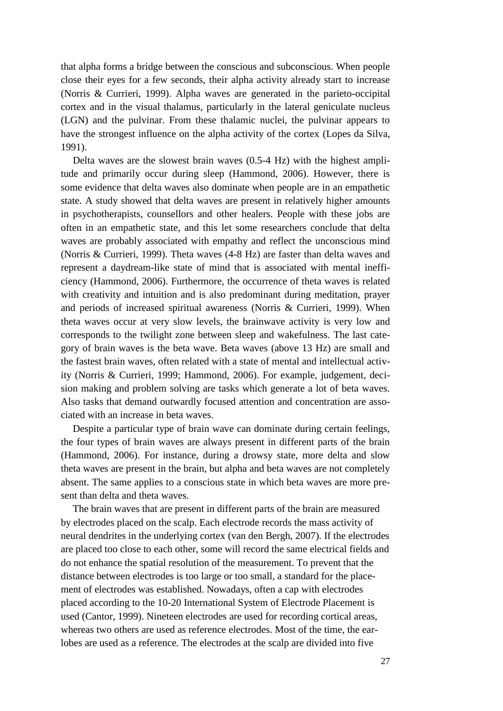that alpha forms a bridge between the conscious and subconscious. When people close their eyes for a few seconds, their alpha activity already start to increase (Norris & Currieri, 1999). Alpha waves are generated in the parieto-occipital cortex and in the visual thalamus, particularly in the lateral geniculate nucleus (LGN) and the pulvinar. From these thalamic nuclei, the pulvinar appears to have the strongest influence on the alpha activity of the cortex (Lopes da Silva, 1991).

Delta waves are the slowest brain waves (0.5-4 Hz) with the highest amplitude and primarily occur during sleep (Hammond, 2006). However, there is some evidence that delta waves also dominate when people are in an empathetic state. A study showed that delta waves are present in relatively higher amounts in psychotherapists, counsellors and other healers. People with these jobs are often in an empathetic state, and this let some researchers conclude that delta waves are probably associated with empathy and reflect the unconscious mind (Norris & Currieri, 1999). Theta waves (4-8 Hz) are faster than delta waves and represent a daydream-like state of mind that is associated with mental inefficiency (Hammond, 2006). Furthermore, the occurrence of theta waves is related with creativity and intuition and is also predominant during meditation, prayer and periods of increased spiritual awareness (Norris & Currieri, 1999). When theta waves occur at very slow levels, the brainwave activity is very low and corresponds to the twilight zone between sleep and wakefulness. The last category of brain waves is the beta wave. Beta waves (above 13 Hz) are small and the fastest brain waves, often related with a state of mental and intellectual activity (Norris & Currieri, 1999; Hammond, 2006). For example, judgement, decision making and problem solving are tasks which generate a lot of beta waves. Also tasks that demand outwardly focused attention and concentration are associated with an increase in beta waves.

Despite a particular type of brain wave can dominate during certain feelings, the four types of brain waves are always present in different parts of the brain (Hammond, 2006). For instance, during a drowsy state, more delta and slow theta waves are present in the brain, but alpha and beta waves are not completely absent. The same applies to a conscious state in which beta waves are more present than delta and theta waves.

The brain waves that are present in different parts of the brain are measured by electrodes placed on the scalp. Each electrode records the mass activity of neural dendrites in the underlying cortex (van den Bergh, 2007). If the electrodes are placed too close to each other, some will record the same electrical fields and do not enhance the spatial resolution of the measurement. To prevent that the distance between electrodes is too large or too small, a standard for the placement of electrodes was established. Nowadays, often a cap with electrodes placed according to the 10-20 International System of Electrode Placement is used (Cantor, 1999). Nineteen electrodes are used for recording cortical areas, whereas two others are used as reference electrodes. Most of the time, the earlobes are used as a reference. The electrodes at the scalp are divided into five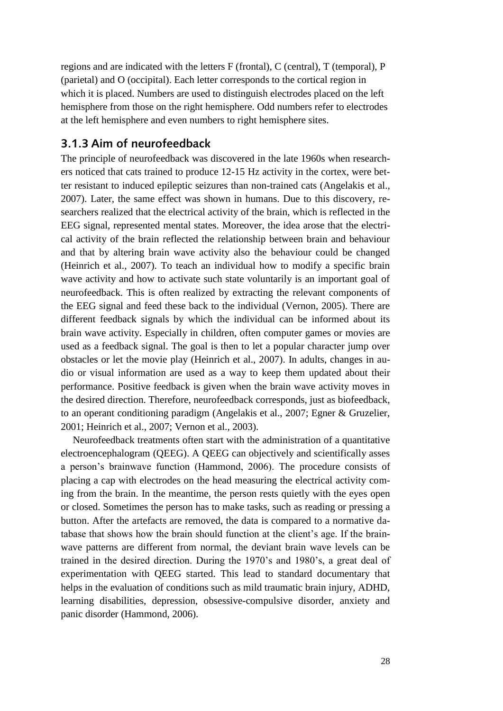regions and are indicated with the letters F (frontal), C (central), T (temporal), P (parietal) and O (occipital). Each letter corresponds to the cortical region in which it is placed. Numbers are used to distinguish electrodes placed on the left hemisphere from those on the right hemisphere. Odd numbers refer to electrodes at the left hemisphere and even numbers to right hemisphere sites.

#### <span id="page-27-0"></span>**3.1.3 Aim of neurofeedback**

The principle of neurofeedback was discovered in the late 1960s when researchers noticed that cats trained to produce 12-15 Hz activity in the cortex, were better resistant to induced epileptic seizures than non-trained cats (Angelakis et al., 2007). Later, the same effect was shown in humans. Due to this discovery, researchers realized that the electrical activity of the brain, which is reflected in the EEG signal, represented mental states. Moreover, the idea arose that the electrical activity of the brain reflected the relationship between brain and behaviour and that by altering brain wave activity also the behaviour could be changed (Heinrich et al., 2007). To teach an individual how to modify a specific brain wave activity and how to activate such state voluntarily is an important goal of neurofeedback. This is often realized by extracting the relevant components of the EEG signal and feed these back to the individual (Vernon, 2005). There are different feedback signals by which the individual can be informed about its brain wave activity. Especially in children, often computer games or movies are used as a feedback signal. The goal is then to let a popular character jump over obstacles or let the movie play (Heinrich et al., 2007). In adults, changes in audio or visual information are used as a way to keep them updated about their performance. Positive feedback is given when the brain wave activity moves in the desired direction. Therefore, neurofeedback corresponds, just as biofeedback, to an operant conditioning paradigm (Angelakis et al., 2007; Egner & Gruzelier, 2001; Heinrich et al., 2007; Vernon et al., 2003).

Neurofeedback treatments often start with the administration of a quantitative electroencephalogram (QEEG). A QEEG can objectively and scientifically asses a person"s brainwave function (Hammond, 2006). The procedure consists of placing a cap with electrodes on the head measuring the electrical activity coming from the brain. In the meantime, the person rests quietly with the eyes open or closed. Sometimes the person has to make tasks, such as reading or pressing a button. After the artefacts are removed, the data is compared to a normative database that shows how the brain should function at the client"s age. If the brainwave patterns are different from normal, the deviant brain wave levels can be trained in the desired direction. During the 1970"s and 1980"s, a great deal of experimentation with QEEG started. This lead to standard documentary that helps in the evaluation of conditions such as mild traumatic brain injury, ADHD, learning disabilities, depression, obsessive-compulsive disorder, anxiety and panic disorder (Hammond, 2006).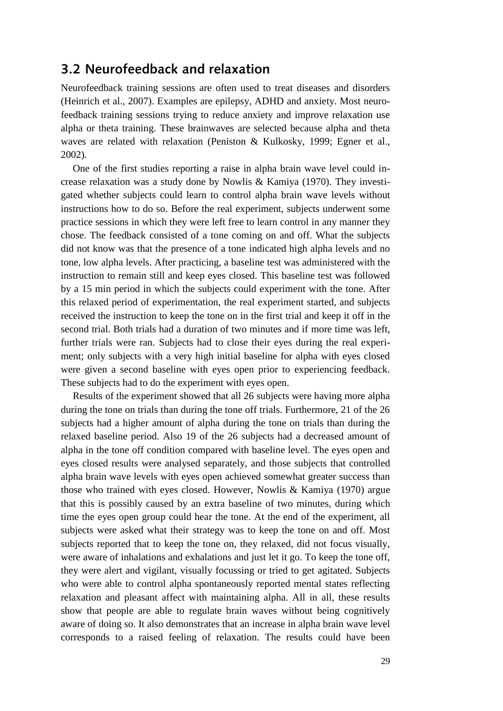#### <span id="page-28-0"></span>**3.2 Neurofeedback and relaxation**

Neurofeedback training sessions are often used to treat diseases and disorders (Heinrich et al., 2007). Examples are epilepsy, ADHD and anxiety. Most neurofeedback training sessions trying to reduce anxiety and improve relaxation use alpha or theta training. These brainwaves are selected because alpha and theta waves are related with relaxation (Peniston & Kulkosky, 1999; Egner et al., 2002).

One of the first studies reporting a raise in alpha brain wave level could increase relaxation was a study done by Nowlis & Kamiya (1970). They investigated whether subjects could learn to control alpha brain wave levels without instructions how to do so. Before the real experiment, subjects underwent some practice sessions in which they were left free to learn control in any manner they chose. The feedback consisted of a tone coming on and off. What the subjects did not know was that the presence of a tone indicated high alpha levels and no tone, low alpha levels. After practicing, a baseline test was administered with the instruction to remain still and keep eyes closed. This baseline test was followed by a 15 min period in which the subjects could experiment with the tone. After this relaxed period of experimentation, the real experiment started, and subjects received the instruction to keep the tone on in the first trial and keep it off in the second trial. Both trials had a duration of two minutes and if more time was left, further trials were ran. Subjects had to close their eyes during the real experiment; only subjects with a very high initial baseline for alpha with eyes closed were given a second baseline with eyes open prior to experiencing feedback. These subjects had to do the experiment with eyes open.

Results of the experiment showed that all 26 subjects were having more alpha during the tone on trials than during the tone off trials. Furthermore, 21 of the 26 subjects had a higher amount of alpha during the tone on trials than during the relaxed baseline period. Also 19 of the 26 subjects had a decreased amount of alpha in the tone off condition compared with baseline level. The eyes open and eyes closed results were analysed separately, and those subjects that controlled alpha brain wave levels with eyes open achieved somewhat greater success than those who trained with eyes closed. However, Nowlis & Kamiya (1970) argue that this is possibly caused by an extra baseline of two minutes, during which time the eyes open group could hear the tone. At the end of the experiment, all subjects were asked what their strategy was to keep the tone on and off. Most subjects reported that to keep the tone on, they relaxed, did not focus visually, were aware of inhalations and exhalations and just let it go. To keep the tone off, they were alert and vigilant, visually focussing or tried to get agitated. Subjects who were able to control alpha spontaneously reported mental states reflecting relaxation and pleasant affect with maintaining alpha. All in all, these results show that people are able to regulate brain waves without being cognitively aware of doing so. It also demonstrates that an increase in alpha brain wave level corresponds to a raised feeling of relaxation. The results could have been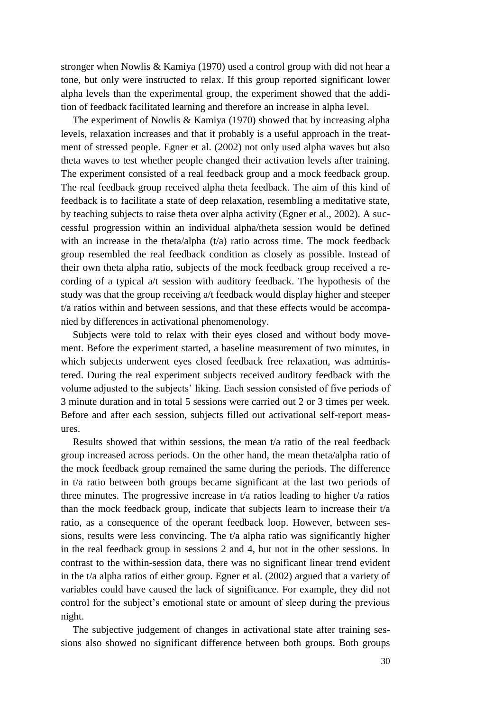stronger when Nowlis & Kamiya (1970) used a control group with did not hear a tone, but only were instructed to relax. If this group reported significant lower alpha levels than the experimental group, the experiment showed that the addition of feedback facilitated learning and therefore an increase in alpha level.

The experiment of Nowlis & Kamiya (1970) showed that by increasing alpha levels, relaxation increases and that it probably is a useful approach in the treatment of stressed people. Egner et al. (2002) not only used alpha waves but also theta waves to test whether people changed their activation levels after training. The experiment consisted of a real feedback group and a mock feedback group. The real feedback group received alpha theta feedback. The aim of this kind of feedback is to facilitate a state of deep relaxation, resembling a meditative state, by teaching subjects to raise theta over alpha activity (Egner et al., 2002). A successful progression within an individual alpha/theta session would be defined with an increase in the theta/alpha  $(t/a)$  ratio across time. The mock feedback group resembled the real feedback condition as closely as possible. Instead of their own theta alpha ratio, subjects of the mock feedback group received a recording of a typical a/t session with auditory feedback. The hypothesis of the study was that the group receiving a/t feedback would display higher and steeper t/a ratios within and between sessions, and that these effects would be accompanied by differences in activational phenomenology.

Subjects were told to relax with their eyes closed and without body movement. Before the experiment started, a baseline measurement of two minutes, in which subjects underwent eyes closed feedback free relaxation, was administered. During the real experiment subjects received auditory feedback with the volume adjusted to the subjects" liking. Each session consisted of five periods of 3 minute duration and in total 5 sessions were carried out 2 or 3 times per week. Before and after each session, subjects filled out activational self-report measures.

Results showed that within sessions, the mean  $t/a$  ratio of the real feedback group increased across periods. On the other hand, the mean theta/alpha ratio of the mock feedback group remained the same during the periods. The difference in t/a ratio between both groups became significant at the last two periods of three minutes. The progressive increase in  $t/a$  ratios leading to higher  $t/a$  ratios than the mock feedback group, indicate that subjects learn to increase their  $t/a$ ratio, as a consequence of the operant feedback loop. However, between sessions, results were less convincing. The t/a alpha ratio was significantly higher in the real feedback group in sessions 2 and 4, but not in the other sessions. In contrast to the within-session data, there was no significant linear trend evident in the t/a alpha ratios of either group. Egner et al. (2002) argued that a variety of variables could have caused the lack of significance. For example, they did not control for the subject's emotional state or amount of sleep during the previous night.

The subjective judgement of changes in activational state after training sessions also showed no significant difference between both groups. Both groups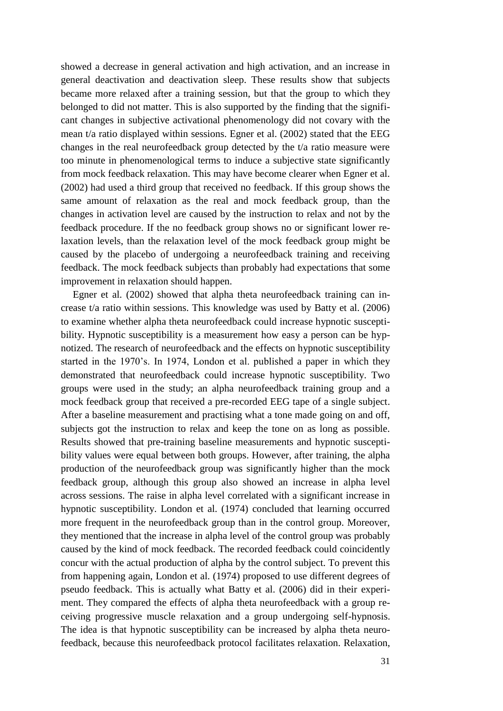showed a decrease in general activation and high activation, and an increase in general deactivation and deactivation sleep. These results show that subjects became more relaxed after a training session, but that the group to which they belonged to did not matter. This is also supported by the finding that the significant changes in subjective activational phenomenology did not covary with the mean t/a ratio displayed within sessions. Egner et al. (2002) stated that the EEG changes in the real neurofeedback group detected by the t/a ratio measure were too minute in phenomenological terms to induce a subjective state significantly from mock feedback relaxation. This may have become clearer when Egner et al. (2002) had used a third group that received no feedback. If this group shows the same amount of relaxation as the real and mock feedback group, than the changes in activation level are caused by the instruction to relax and not by the feedback procedure. If the no feedback group shows no or significant lower relaxation levels, than the relaxation level of the mock feedback group might be caused by the placebo of undergoing a neurofeedback training and receiving feedback. The mock feedback subjects than probably had expectations that some improvement in relaxation should happen.

Egner et al. (2002) showed that alpha theta neurofeedback training can increase t/a ratio within sessions. This knowledge was used by Batty et al. (2006) to examine whether alpha theta neurofeedback could increase hypnotic susceptibility. Hypnotic susceptibility is a measurement how easy a person can be hypnotized. The research of neurofeedback and the effects on hypnotic susceptibility started in the 1970's. In 1974, London et al. published a paper in which they demonstrated that neurofeedback could increase hypnotic susceptibility. Two groups were used in the study; an alpha neurofeedback training group and a mock feedback group that received a pre-recorded EEG tape of a single subject. After a baseline measurement and practising what a tone made going on and off, subjects got the instruction to relax and keep the tone on as long as possible. Results showed that pre-training baseline measurements and hypnotic susceptibility values were equal between both groups. However, after training, the alpha production of the neurofeedback group was significantly higher than the mock feedback group, although this group also showed an increase in alpha level across sessions. The raise in alpha level correlated with a significant increase in hypnotic susceptibility. London et al. (1974) concluded that learning occurred more frequent in the neurofeedback group than in the control group. Moreover, they mentioned that the increase in alpha level of the control group was probably caused by the kind of mock feedback. The recorded feedback could coincidently concur with the actual production of alpha by the control subject. To prevent this from happening again, London et al. (1974) proposed to use different degrees of pseudo feedback. This is actually what Batty et al. (2006) did in their experiment. They compared the effects of alpha theta neurofeedback with a group receiving progressive muscle relaxation and a group undergoing self-hypnosis. The idea is that hypnotic susceptibility can be increased by alpha theta neurofeedback, because this neurofeedback protocol facilitates relaxation. Relaxation,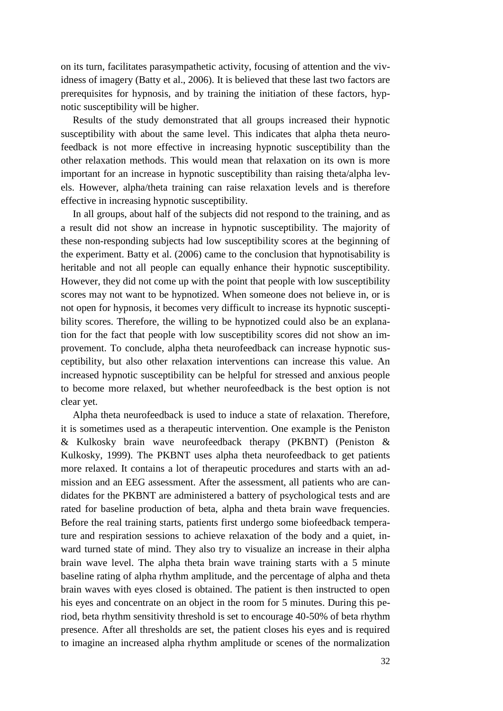on its turn, facilitates parasympathetic activity, focusing of attention and the vividness of imagery (Batty et al., 2006). It is believed that these last two factors are prerequisites for hypnosis, and by training the initiation of these factors, hypnotic susceptibility will be higher.

Results of the study demonstrated that all groups increased their hypnotic susceptibility with about the same level. This indicates that alpha theta neurofeedback is not more effective in increasing hypnotic susceptibility than the other relaxation methods. This would mean that relaxation on its own is more important for an increase in hypnotic susceptibility than raising theta/alpha levels. However, alpha/theta training can raise relaxation levels and is therefore effective in increasing hypnotic susceptibility.

In all groups, about half of the subjects did not respond to the training, and as a result did not show an increase in hypnotic susceptibility. The majority of these non-responding subjects had low susceptibility scores at the beginning of the experiment. Batty et al. (2006) came to the conclusion that hypnotisability is heritable and not all people can equally enhance their hypnotic susceptibility. However, they did not come up with the point that people with low susceptibility scores may not want to be hypnotized. When someone does not believe in, or is not open for hypnosis, it becomes very difficult to increase its hypnotic susceptibility scores. Therefore, the willing to be hypnotized could also be an explanation for the fact that people with low susceptibility scores did not show an improvement. To conclude, alpha theta neurofeedback can increase hypnotic susceptibility, but also other relaxation interventions can increase this value. An increased hypnotic susceptibility can be helpful for stressed and anxious people to become more relaxed, but whether neurofeedback is the best option is not clear yet.

Alpha theta neurofeedback is used to induce a state of relaxation. Therefore, it is sometimes used as a therapeutic intervention. One example is the Peniston & Kulkosky brain wave neurofeedback therapy (PKBNT) (Peniston & Kulkosky, 1999). The PKBNT uses alpha theta neurofeedback to get patients more relaxed. It contains a lot of therapeutic procedures and starts with an admission and an EEG assessment. After the assessment, all patients who are candidates for the PKBNT are administered a battery of psychological tests and are rated for baseline production of beta, alpha and theta brain wave frequencies. Before the real training starts, patients first undergo some biofeedback temperature and respiration sessions to achieve relaxation of the body and a quiet, inward turned state of mind. They also try to visualize an increase in their alpha brain wave level. The alpha theta brain wave training starts with a 5 minute baseline rating of alpha rhythm amplitude, and the percentage of alpha and theta brain waves with eyes closed is obtained. The patient is then instructed to open his eyes and concentrate on an object in the room for 5 minutes. During this period, beta rhythm sensitivity threshold is set to encourage 40-50% of beta rhythm presence. After all thresholds are set, the patient closes his eyes and is required to imagine an increased alpha rhythm amplitude or scenes of the normalization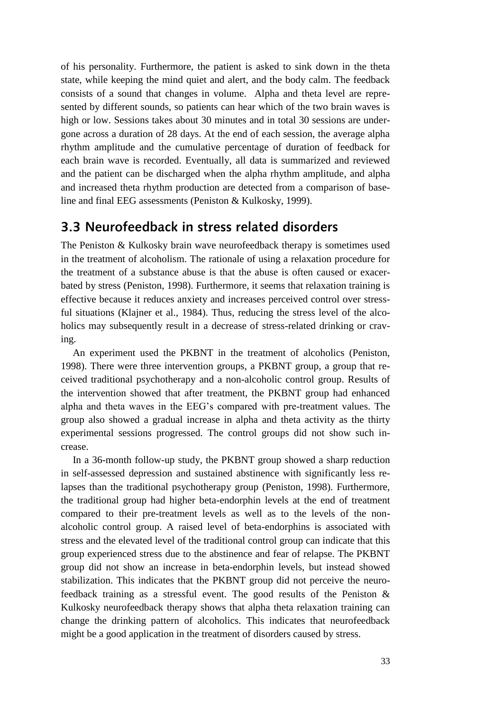of his personality. Furthermore, the patient is asked to sink down in the theta state, while keeping the mind quiet and alert, and the body calm. The feedback consists of a sound that changes in volume. Alpha and theta level are represented by different sounds, so patients can hear which of the two brain waves is high or low. Sessions takes about 30 minutes and in total 30 sessions are undergone across a duration of 28 days. At the end of each session, the average alpha rhythm amplitude and the cumulative percentage of duration of feedback for each brain wave is recorded. Eventually, all data is summarized and reviewed and the patient can be discharged when the alpha rhythm amplitude, and alpha and increased theta rhythm production are detected from a comparison of baseline and final EEG assessments (Peniston & Kulkosky, 1999).

#### <span id="page-32-0"></span>**3.3 Neurofeedback in stress related disorders**

The Peniston & Kulkosky brain wave neurofeedback therapy is sometimes used in the treatment of alcoholism. The rationale of using a relaxation procedure for the treatment of a substance abuse is that the abuse is often caused or exacerbated by stress (Peniston, 1998). Furthermore, it seems that relaxation training is effective because it reduces anxiety and increases perceived control over stressful situations (Klajner et al., 1984). Thus, reducing the stress level of the alcoholics may subsequently result in a decrease of stress-related drinking or craving.

An experiment used the PKBNT in the treatment of alcoholics (Peniston, 1998). There were three intervention groups, a PKBNT group, a group that received traditional psychotherapy and a non-alcoholic control group. Results of the intervention showed that after treatment, the PKBNT group had enhanced alpha and theta waves in the EEG"s compared with pre-treatment values. The group also showed a gradual increase in alpha and theta activity as the thirty experimental sessions progressed. The control groups did not show such increase.

In a 36-month follow-up study, the PKBNT group showed a sharp reduction in self-assessed depression and sustained abstinence with significantly less relapses than the traditional psychotherapy group (Peniston, 1998). Furthermore, the traditional group had higher beta-endorphin levels at the end of treatment compared to their pre-treatment levels as well as to the levels of the nonalcoholic control group. A raised level of beta-endorphins is associated with stress and the elevated level of the traditional control group can indicate that this group experienced stress due to the abstinence and fear of relapse. The PKBNT group did not show an increase in beta-endorphin levels, but instead showed stabilization. This indicates that the PKBNT group did not perceive the neurofeedback training as a stressful event. The good results of the Peniston & Kulkosky neurofeedback therapy shows that alpha theta relaxation training can change the drinking pattern of alcoholics. This indicates that neurofeedback might be a good application in the treatment of disorders caused by stress.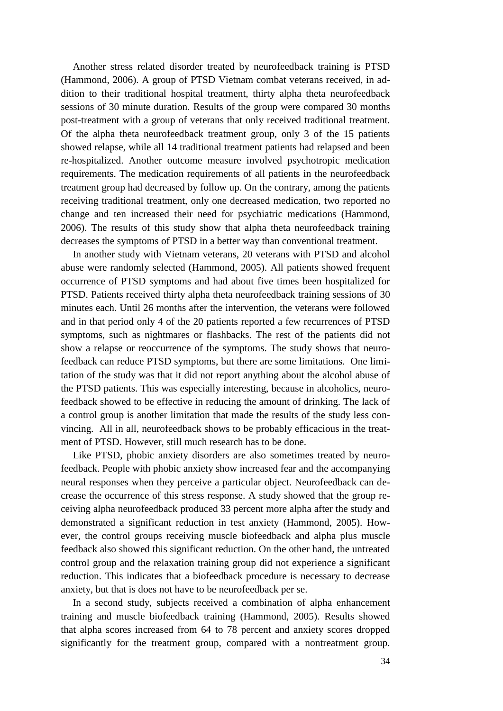Another stress related disorder treated by neurofeedback training is PTSD (Hammond, 2006). A group of PTSD Vietnam combat veterans received, in addition to their traditional hospital treatment, thirty alpha theta neurofeedback sessions of 30 minute duration. Results of the group were compared 30 months post-treatment with a group of veterans that only received traditional treatment. Of the alpha theta neurofeedback treatment group, only 3 of the 15 patients showed relapse, while all 14 traditional treatment patients had relapsed and been re-hospitalized. Another outcome measure involved psychotropic medication requirements. The medication requirements of all patients in the neurofeedback treatment group had decreased by follow up. On the contrary, among the patients receiving traditional treatment, only one decreased medication, two reported no change and ten increased their need for psychiatric medications (Hammond, 2006). The results of this study show that alpha theta neurofeedback training decreases the symptoms of PTSD in a better way than conventional treatment.

In another study with Vietnam veterans, 20 veterans with PTSD and alcohol abuse were randomly selected (Hammond, 2005). All patients showed frequent occurrence of PTSD symptoms and had about five times been hospitalized for PTSD. Patients received thirty alpha theta neurofeedback training sessions of 30 minutes each. Until 26 months after the intervention, the veterans were followed and in that period only 4 of the 20 patients reported a few recurrences of PTSD symptoms, such as nightmares or flashbacks. The rest of the patients did not show a relapse or reoccurrence of the symptoms. The study shows that neurofeedback can reduce PTSD symptoms, but there are some limitations. One limitation of the study was that it did not report anything about the alcohol abuse of the PTSD patients. This was especially interesting, because in alcoholics, neurofeedback showed to be effective in reducing the amount of drinking. The lack of a control group is another limitation that made the results of the study less convincing. All in all, neurofeedback shows to be probably efficacious in the treatment of PTSD. However, still much research has to be done.

Like PTSD, phobic anxiety disorders are also sometimes treated by neurofeedback. People with phobic anxiety show increased fear and the accompanying neural responses when they perceive a particular object. Neurofeedback can decrease the occurrence of this stress response. A study showed that the group receiving alpha neurofeedback produced 33 percent more alpha after the study and demonstrated a significant reduction in test anxiety (Hammond, 2005). However, the control groups receiving muscle biofeedback and alpha plus muscle feedback also showed this significant reduction. On the other hand, the untreated control group and the relaxation training group did not experience a significant reduction. This indicates that a biofeedback procedure is necessary to decrease anxiety, but that is does not have to be neurofeedback per se.

In a second study, subjects received a combination of alpha enhancement training and muscle biofeedback training (Hammond, 2005). Results showed that alpha scores increased from 64 to 78 percent and anxiety scores dropped significantly for the treatment group, compared with a nontreatment group.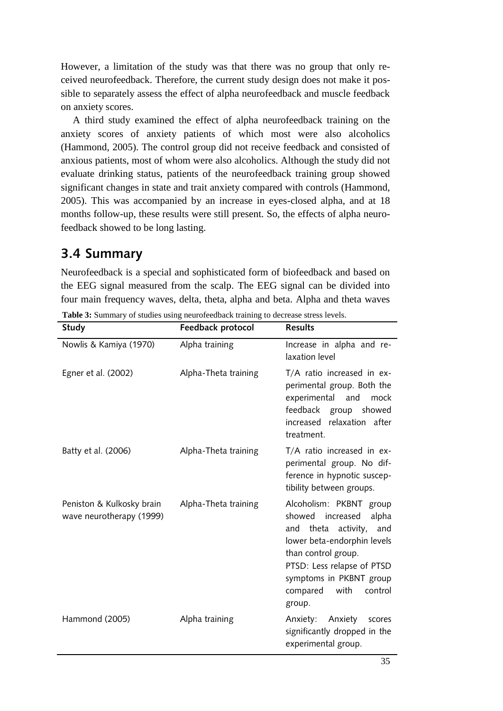However, a limitation of the study was that there was no group that only received neurofeedback. Therefore, the current study design does not make it possible to separately assess the effect of alpha neurofeedback and muscle feedback on anxiety scores.

A third study examined the effect of alpha neurofeedback training on the anxiety scores of anxiety patients of which most were also alcoholics (Hammond, 2005). The control group did not receive feedback and consisted of anxious patients, most of whom were also alcoholics. Although the study did not evaluate drinking status, patients of the neurofeedback training group showed significant changes in state and trait anxiety compared with controls (Hammond, 2005). This was accompanied by an increase in eyes-closed alpha, and at 18 months follow-up, these results were still present. So, the effects of alpha neurofeedback showed to be long lasting.

### <span id="page-34-0"></span>**3.4 Summary**

Neurofeedback is a special and sophisticated form of biofeedback and based on the EEG signal measured from the scalp. The EEG signal can be divided into four main frequency waves, delta, theta, alpha and beta. Alpha and theta waves

| Study                                                 | Feedback protocol    | <b>Results</b>                                                                                                                                                                                                                                   |
|-------------------------------------------------------|----------------------|--------------------------------------------------------------------------------------------------------------------------------------------------------------------------------------------------------------------------------------------------|
| Nowlis & Kamiya (1970)                                | Alpha training       | Increase in alpha and re-<br>laxation level                                                                                                                                                                                                      |
| Egner et al. (2002)                                   | Alpha-Theta training | T/A ratio increased in ex-<br>perimental group. Both the<br>experimental<br>and<br>mock<br>feedback group<br>showed<br>increased<br>relaxation after<br>treatment.                                                                               |
| Batty et al. (2006)                                   | Alpha-Theta training | T/A ratio increased in ex-<br>perimental group. No dif-<br>ference in hypnotic suscep-<br>tibility between groups.                                                                                                                               |
| Peniston & Kulkosky brain<br>wave neurotherapy (1999) | Alpha-Theta training | Alcoholism: PKBNT group<br>showed<br>increased<br>alpha<br>theta activity,<br>and<br>and<br>lower beta-endorphin levels<br>than control group.<br>PTSD: Less relapse of PTSD<br>symptoms in PKBNT group<br>compared<br>with<br>control<br>group. |
| Hammond (2005)                                        | Alpha training       | Anxiety: Anxiety<br>scores<br>significantly dropped in the<br>experimental group.                                                                                                                                                                |

**Table 3:** Summary of studies using neurofeedback training to decrease stress levels.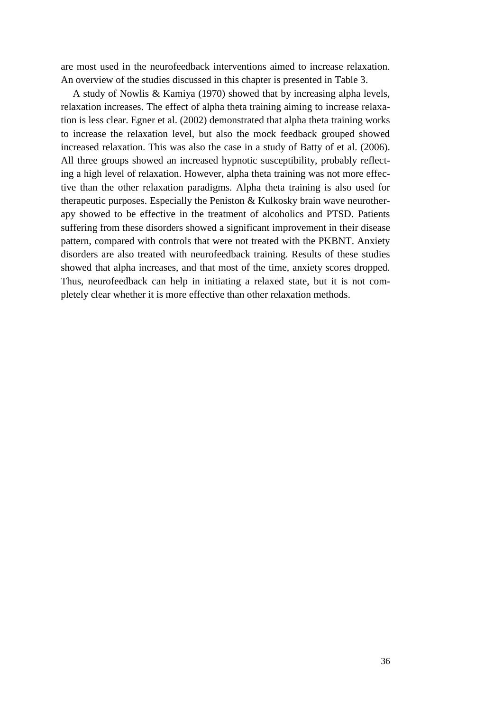are most used in the neurofeedback interventions aimed to increase relaxation. An overview of the studies discussed in this chapter is presented in Table 3.

<span id="page-35-0"></span>A study of Nowlis & Kamiya (1970) showed that by increasing alpha levels, relaxation increases. The effect of alpha theta training aiming to increase relaxation is less clear. Egner et al. (2002) demonstrated that alpha theta training works to increase the relaxation level, but also the mock feedback grouped showed increased relaxation. This was also the case in a study of Batty of et al. (2006). All three groups showed an increased hypnotic susceptibility, probably reflecting a high level of relaxation. However, alpha theta training was not more effective than the other relaxation paradigms. Alpha theta training is also used for therapeutic purposes. Especially the Peniston & Kulkosky brain wave neurotherapy showed to be effective in the treatment of alcoholics and PTSD. Patients suffering from these disorders showed a significant improvement in their disease pattern, compared with controls that were not treated with the PKBNT. Anxiety disorders are also treated with neurofeedback training. Results of these studies showed that alpha increases, and that most of the time, anxiety scores dropped. Thus, neurofeedback can help in initiating a relaxed state, but it is not completely clear whether it is more effective than other relaxation methods.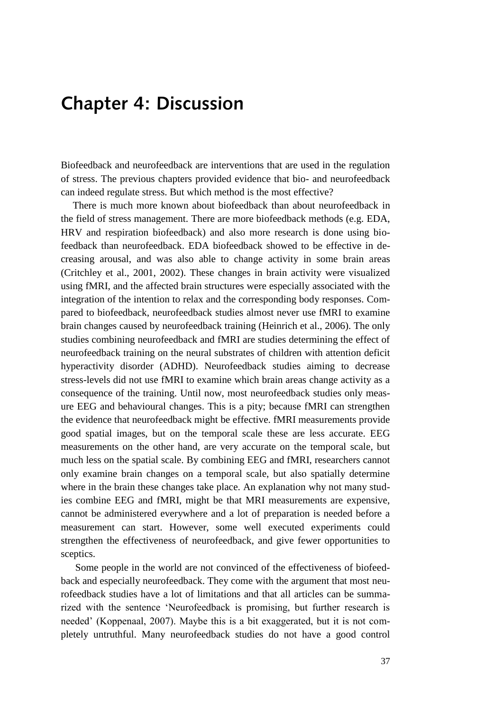## **Chapter 4: Discussion**

Biofeedback and neurofeedback are interventions that are used in the regulation of stress. The previous chapters provided evidence that bio- and neurofeedback can indeed regulate stress. But which method is the most effective?

There is much more known about biofeedback than about neurofeedback in the field of stress management. There are more biofeedback methods (e.g. EDA, HRV and respiration biofeedback) and also more research is done using biofeedback than neurofeedback. EDA biofeedback showed to be effective in decreasing arousal, and was also able to change activity in some brain areas (Critchley et al., 2001, 2002). These changes in brain activity were visualized using fMRI, and the affected brain structures were especially associated with the integration of the intention to relax and the corresponding body responses. Compared to biofeedback, neurofeedback studies almost never use fMRI to examine brain changes caused by neurofeedback training (Heinrich et al., 2006). The only studies combining neurofeedback and fMRI are studies determining the effect of neurofeedback training on the neural substrates of children with attention deficit hyperactivity disorder (ADHD). Neurofeedback studies aiming to decrease stress-levels did not use fMRI to examine which brain areas change activity as a consequence of the training. Until now, most neurofeedback studies only measure EEG and behavioural changes. This is a pity; because fMRI can strengthen the evidence that neurofeedback might be effective. fMRI measurements provide good spatial images, but on the temporal scale these are less accurate. EEG measurements on the other hand, are very accurate on the temporal scale, but much less on the spatial scale. By combining EEG and fMRI, researchers cannot only examine brain changes on a temporal scale, but also spatially determine where in the brain these changes take place. An explanation why not many studies combine EEG and fMRI, might be that MRI measurements are expensive, cannot be administered everywhere and a lot of preparation is needed before a measurement can start. However, some well executed experiments could strengthen the effectiveness of neurofeedback, and give fewer opportunities to sceptics.

Some people in the world are not convinced of the effectiveness of biofeedback and especially neurofeedback. They come with the argument that most neurofeedback studies have a lot of limitations and that all articles can be summarized with the sentence "Neurofeedback is promising, but further research is needed" (Koppenaal, 2007). Maybe this is a bit exaggerated, but it is not completely untruthful. Many neurofeedback studies do not have a good control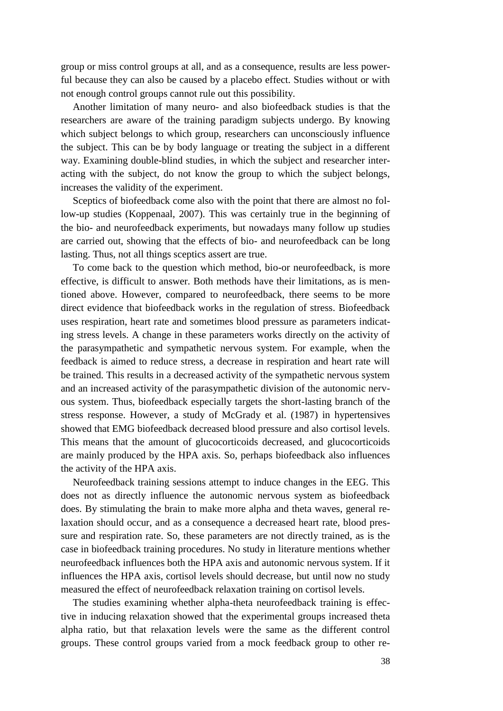group or miss control groups at all, and as a consequence, results are less powerful because they can also be caused by a placebo effect. Studies without or with not enough control groups cannot rule out this possibility.

Another limitation of many neuro- and also biofeedback studies is that the researchers are aware of the training paradigm subjects undergo. By knowing which subject belongs to which group, researchers can unconsciously influence the subject. This can be by body language or treating the subject in a different way. Examining double-blind studies, in which the subject and researcher interacting with the subject, do not know the group to which the subject belongs, increases the validity of the experiment.

Sceptics of biofeedback come also with the point that there are almost no follow-up studies (Koppenaal, 2007). This was certainly true in the beginning of the bio- and neurofeedback experiments, but nowadays many follow up studies are carried out, showing that the effects of bio- and neurofeedback can be long lasting. Thus, not all things sceptics assert are true.

To come back to the question which method, bio-or neurofeedback, is more effective, is difficult to answer. Both methods have their limitations, as is mentioned above. However, compared to neurofeedback, there seems to be more direct evidence that biofeedback works in the regulation of stress. Biofeedback uses respiration, heart rate and sometimes blood pressure as parameters indicating stress levels. A change in these parameters works directly on the activity of the parasympathetic and sympathetic nervous system. For example, when the feedback is aimed to reduce stress, a decrease in respiration and heart rate will be trained. This results in a decreased activity of the sympathetic nervous system and an increased activity of the parasympathetic division of the autonomic nervous system. Thus, biofeedback especially targets the short-lasting branch of the stress response. However, a study of McGrady et al. (1987) in hypertensives showed that EMG biofeedback decreased blood pressure and also cortisol levels. This means that the amount of glucocorticoids decreased, and glucocorticoids are mainly produced by the HPA axis. So, perhaps biofeedback also influences the activity of the HPA axis.

 Neurofeedback training sessions attempt to induce changes in the EEG. This does not as directly influence the autonomic nervous system as biofeedback does. By stimulating the brain to make more alpha and theta waves, general relaxation should occur, and as a consequence a decreased heart rate, blood pressure and respiration rate. So, these parameters are not directly trained, as is the case in biofeedback training procedures. No study in literature mentions whether neurofeedback influences both the HPA axis and autonomic nervous system. If it influences the HPA axis, cortisol levels should decrease, but until now no study measured the effect of neurofeedback relaxation training on cortisol levels.

The studies examining whether alpha-theta neurofeedback training is effective in inducing relaxation showed that the experimental groups increased theta alpha ratio, but that relaxation levels were the same as the different control groups. These control groups varied from a mock feedback group to other re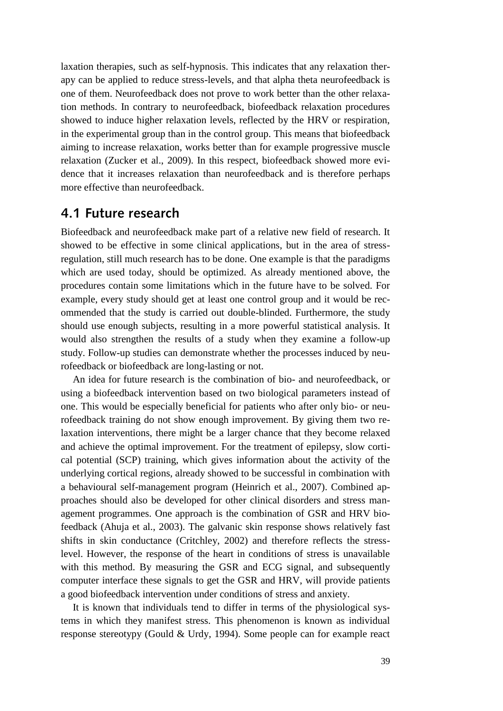laxation therapies, such as self-hypnosis. This indicates that any relaxation therapy can be applied to reduce stress-levels, and that alpha theta neurofeedback is one of them. Neurofeedback does not prove to work better than the other relaxation methods. In contrary to neurofeedback, biofeedback relaxation procedures showed to induce higher relaxation levels, reflected by the HRV or respiration, in the experimental group than in the control group. This means that biofeedback aiming to increase relaxation, works better than for example progressive muscle relaxation (Zucker et al., 2009). In this respect, biofeedback showed more evidence that it increases relaxation than neurofeedback and is therefore perhaps more effective than neurofeedback.

#### <span id="page-38-0"></span>**4.1 Future research**

Biofeedback and neurofeedback make part of a relative new field of research. It showed to be effective in some clinical applications, but in the area of stressregulation, still much research has to be done. One example is that the paradigms which are used today, should be optimized. As already mentioned above, the procedures contain some limitations which in the future have to be solved. For example, every study should get at least one control group and it would be recommended that the study is carried out double-blinded. Furthermore, the study should use enough subjects, resulting in a more powerful statistical analysis. It would also strengthen the results of a study when they examine a follow-up study. Follow-up studies can demonstrate whether the processes induced by neurofeedback or biofeedback are long-lasting or not.

An idea for future research is the combination of bio- and neurofeedback, or using a biofeedback intervention based on two biological parameters instead of one. This would be especially beneficial for patients who after only bio- or neurofeedback training do not show enough improvement. By giving them two relaxation interventions, there might be a larger chance that they become relaxed and achieve the optimal improvement. For the treatment of epilepsy, slow cortical potential (SCP) training, which gives information about the activity of the underlying cortical regions, already showed to be successful in combination with a behavioural self-management program (Heinrich et al., 2007). Combined approaches should also be developed for other clinical disorders and stress management programmes. One approach is the combination of GSR and HRV biofeedback (Ahuja et al., 2003). The galvanic skin response shows relatively fast shifts in skin conductance (Critchley, 2002) and therefore reflects the stresslevel. However, the response of the heart in conditions of stress is unavailable with this method. By measuring the GSR and ECG signal, and subsequently computer interface these signals to get the GSR and HRV, will provide patients a good biofeedback intervention under conditions of stress and anxiety.

It is known that individuals tend to differ in terms of the physiological systems in which they manifest stress. This phenomenon is known as individual response stereotypy (Gould & Urdy, 1994). Some people can for example react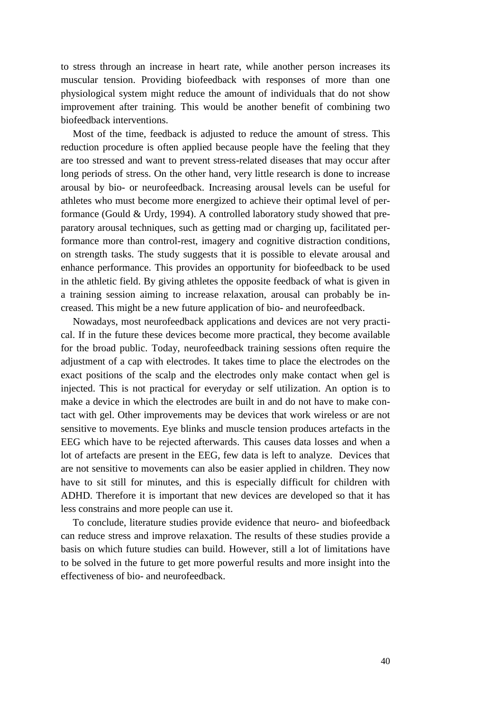to stress through an increase in heart rate, while another person increases its muscular tension. Providing biofeedback with responses of more than one physiological system might reduce the amount of individuals that do not show improvement after training. This would be another benefit of combining two biofeedback interventions.

Most of the time, feedback is adjusted to reduce the amount of stress. This reduction procedure is often applied because people have the feeling that they are too stressed and want to prevent stress-related diseases that may occur after long periods of stress. On the other hand, very little research is done to increase arousal by bio- or neurofeedback. Increasing arousal levels can be useful for athletes who must become more energized to achieve their optimal level of performance (Gould & Urdy, 1994). A controlled laboratory study showed that preparatory arousal techniques, such as getting mad or charging up, facilitated performance more than control-rest, imagery and cognitive distraction conditions, on strength tasks. The study suggests that it is possible to elevate arousal and enhance performance. This provides an opportunity for biofeedback to be used in the athletic field. By giving athletes the opposite feedback of what is given in a training session aiming to increase relaxation, arousal can probably be increased. This might be a new future application of bio- and neurofeedback.

Nowadays, most neurofeedback applications and devices are not very practical. If in the future these devices become more practical, they become available for the broad public. Today, neurofeedback training sessions often require the adjustment of a cap with electrodes. It takes time to place the electrodes on the exact positions of the scalp and the electrodes only make contact when gel is injected. This is not practical for everyday or self utilization. An option is to make a device in which the electrodes are built in and do not have to make contact with gel. Other improvements may be devices that work wireless or are not sensitive to movements. Eye blinks and muscle tension produces artefacts in the EEG which have to be rejected afterwards. This causes data losses and when a lot of artefacts are present in the EEG, few data is left to analyze. Devices that are not sensitive to movements can also be easier applied in children. They now have to sit still for minutes, and this is especially difficult for children with ADHD. Therefore it is important that new devices are developed so that it has less constrains and more people can use it.

To conclude, literature studies provide evidence that neuro- and biofeedback can reduce stress and improve relaxation. The results of these studies provide a basis on which future studies can build. However, still a lot of limitations have to be solved in the future to get more powerful results and more insight into the effectiveness of bio- and neurofeedback.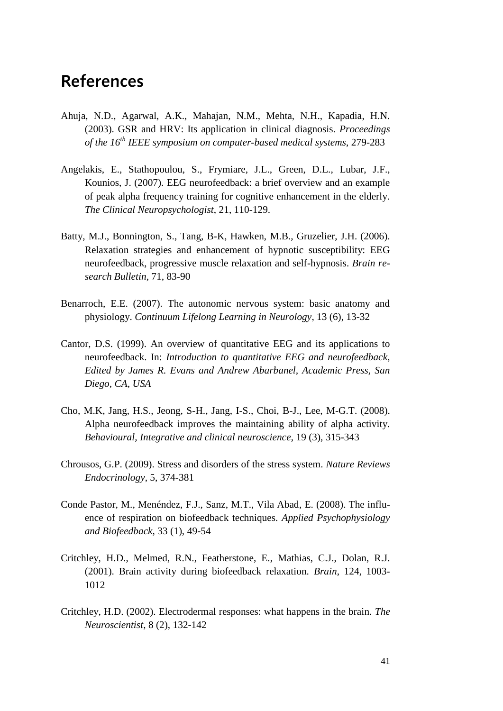# <span id="page-40-0"></span>**References**

- Ahuja, N.D., Agarwal, A.K., Mahajan, N.M., Mehta, N.H., Kapadia, H.N. (2003). GSR and HRV: Its application in clinical diagnosis. *Proceedings of the 16th IEEE symposium on computer-based medical systems*, 279-283
- Angelakis, E., Stathopoulou, S., Frymiare, J.L., Green, D.L., Lubar, J.F., Kounios, J. (2007). EEG neurofeedback: a brief overview and an example of peak alpha frequency training for cognitive enhancement in the elderly. *The Clinical Neuropsychologist*, 21, 110-129.
- Batty, M.J., Bonnington, S., Tang, B-K, Hawken, M.B., Gruzelier, J.H. (2006). Relaxation strategies and enhancement of hypnotic susceptibility: EEG neurofeedback, progressive muscle relaxation and self-hypnosis. *Brain research Bulletin*, 71, 83-90
- Benarroch, E.E. (2007). The autonomic nervous system: basic anatomy and physiology. *Continuum Lifelong Learning in Neurology*, 13 (6), 13-32
- Cantor, D.S. (1999). An overview of quantitative EEG and its applications to neurofeedback. In: *Introduction to quantitative EEG and neurofeedback, Edited by James R. Evans and Andrew Abarbanel, Academic Press, San Diego, CA, USA*
- Cho, M.K, Jang, H.S., Jeong, S-H., Jang, I-S., Choi, B-J., Lee, M-G.T. (2008). Alpha neurofeedback improves the maintaining ability of alpha activity. *Behavioural, Integrative and clinical neuroscience*, 19 (3), 315-343
- Chrousos, G.P. (2009). Stress and disorders of the stress system. *Nature Reviews Endocrinology*, 5, 374-381
- Conde Pastor, M., Menéndez, F.J., Sanz, M.T., Vila Abad, E. (2008). The influence of respiration on biofeedback techniques. *Applied Psychophysiology and Biofeedback*, 33 (1), 49-54
- Critchley, H.D., Melmed, R.N., Featherstone, E., Mathias, C.J., Dolan, R.J. (2001). Brain activity during biofeedback relaxation. *Brain*, 124, 1003- 1012
- Critchley, H.D. (2002). Electrodermal responses: what happens in the brain. *The Neuroscientist*, 8 (2), 132-142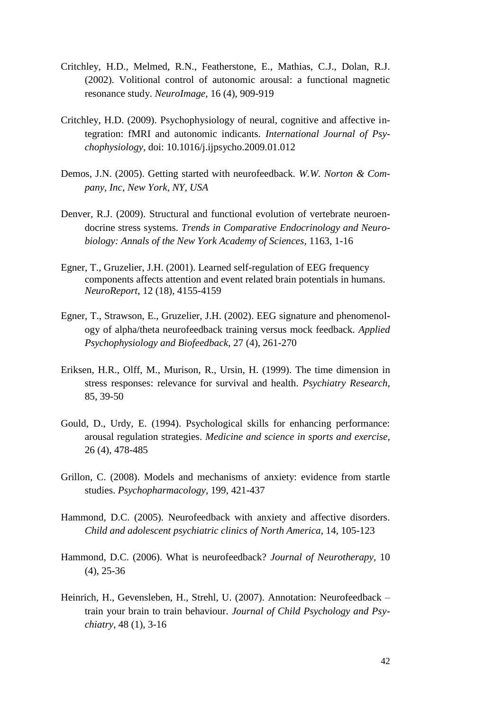- Critchley, H.D., Melmed, R.N., Featherstone, E., Mathias, C.J., Dolan, R.J. (2002). Volitional control of autonomic arousal: a functional magnetic resonance study. *NeuroImage*, 16 (4), 909-919
- Critchley, H.D. (2009). Psychophysiology of neural, cognitive and affective integration: fMRI and autonomic indicants. *International Journal of Psychophysiology,* doi: 10.1016/j.ijpsycho.2009.01.012
- Demos, J.N. (2005). Getting started with neurofeedback. *W.W. Norton & Company, Inc, New York, NY, USA*
- Denver, R.J. (2009). Structural and functional evolution of vertebrate neuroendocrine stress systems. *Trends in Comparative Endocrinology and Neurobiology: Annals of the New York Academy of Sciences*, 1163, 1-16
- Egner, T., Gruzelier, J.H. (2001). Learned self-regulation of EEG frequency components affects attention and event related brain potentials in humans. *NeuroReport*, 12 (18), 4155-4159
- Egner, T., Strawson, E., Gruzelier, J.H. (2002). EEG signature and phenomenology of alpha/theta neurofeedback training versus mock feedback. *Applied Psychophysiology and Biofeedback*, 27 (4), 261-270
- Eriksen, H.R., Olff, M., Murison, R., Ursin, H. (1999). The time dimension in stress responses: relevance for survival and health. *Psychiatry Research*, 85, 39-50
- Gould, D., Urdy, E. (1994). Psychological skills for enhancing performance: arousal regulation strategies. *Medicine and science in sports and exercise*, 26 (4), 478-485
- Grillon, C. (2008). Models and mechanisms of anxiety: evidence from startle studies. *Psychopharmacology*, 199, 421-437
- Hammond, D.C. (2005). Neurofeedback with anxiety and affective disorders. *Child and adolescent psychiatric clinics of North America*, 14, 105-123
- Hammond, D.C. (2006). What is neurofeedback? *Journal of Neurotherapy*, 10 (4), 25-36
- Heinrich, H., Gevensleben, H., Strehl, U. (2007). Annotation: Neurofeedback train your brain to train behaviour. *Journal of Child Psychology and Psychiatry*, 48 (1), 3-16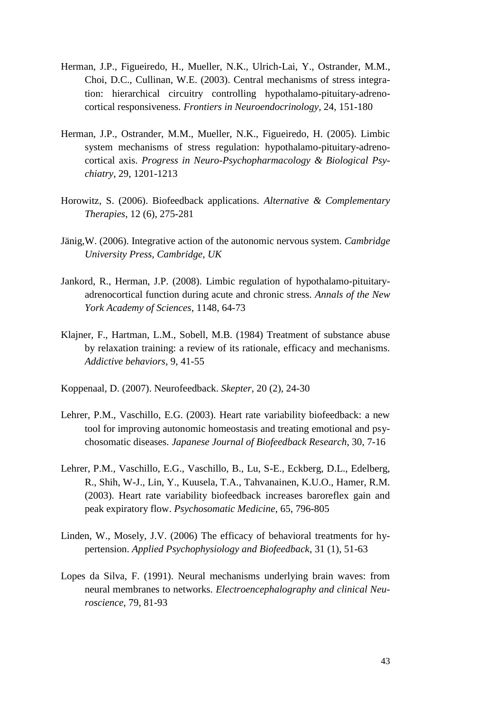- Herman, J.P., Figueiredo, H., Mueller, N.K., Ulrich-Lai, Y., Ostrander, M.M., Choi, D.C., Cullinan, W.E. (2003). Central mechanisms of stress integration: hierarchical circuitry controlling hypothalamo-pituitary-adrenocortical responsiveness. *Frontiers in Neuroendocrinology*, 24, 151-180
- Herman, J.P., Ostrander, M.M., Mueller, N.K., Figueiredo, H. (2005). Limbic system mechanisms of stress regulation: hypothalamo-pituitary-adrenocortical axis. *Progress in Neuro-Psychopharmacology & Biological Psychiatry*, 29, 1201-1213
- Horowitz, S. (2006). Biofeedback applications. *Alternative & Complementary Therapies*, 12 (6), 275-281
- Jänig,W. (2006). Integrative action of the autonomic nervous system. *Cambridge University Press, Cambridge, UK*
- Jankord, R., Herman, J.P. (2008). Limbic regulation of hypothalamo-pituitaryadrenocortical function during acute and chronic stress. *Annals of the New York Academy of Sciences*, 1148, 64-73
- Klajner, F., Hartman, L.M., Sobell, M.B. (1984) Treatment of substance abuse by relaxation training: a review of its rationale, efficacy and mechanisms. *Addictive behaviors*, 9, 41-55
- Koppenaal, D. (2007). Neurofeedback. *Skepter*, 20 (2), 24-30
- Lehrer, P.M., Vaschillo, E.G. (2003). Heart rate variability biofeedback: a new tool for improving autonomic homeostasis and treating emotional and psychosomatic diseases. *Japanese Journal of Biofeedback Research*, 30, 7-16
- Lehrer, P.M., Vaschillo, E.G., Vaschillo, B., Lu, S-E., Eckberg, D.L., Edelberg, R., Shih, W-J., Lin, Y., Kuusela, T.A., Tahvanainen, K.U.O., Hamer, R.M. (2003). Heart rate variability biofeedback increases baroreflex gain and peak expiratory flow. *Psychosomatic Medicine*, 65, 796-805
- Linden, W., Mosely, J.V. (2006) The efficacy of behavioral treatments for hypertension. *Applied Psychophysiology and Biofeedback*, 31 (1), 51-63
- Lopes da Silva, F. (1991). Neural mechanisms underlying brain waves: from neural membranes to networks. *Electroencephalography and clinical Neuroscience*, 79, 81-93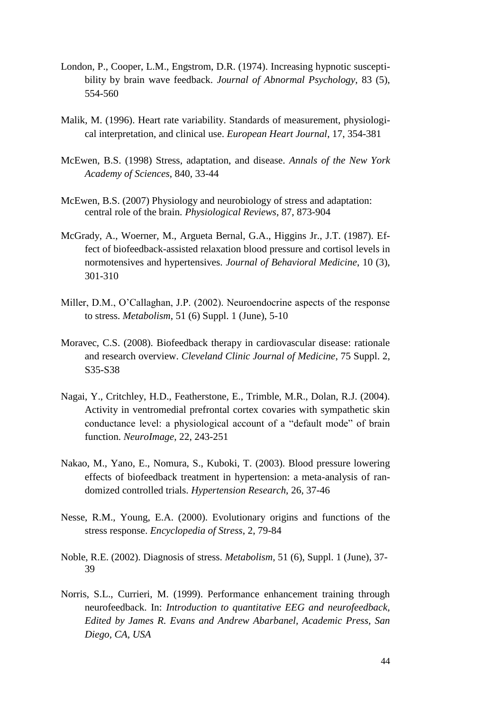- London, P., Cooper, L.M., Engstrom, D.R. (1974). Increasing hypnotic susceptibility by brain wave feedback. *Journal of Abnormal Psychology*, 83 (5), 554-560
- Malik, M. (1996). Heart rate variability. Standards of measurement, physiological interpretation, and clinical use. *European Heart Journal*, 17, 354-381
- McEwen, B.S. (1998) Stress, adaptation, and disease. *Annals of the New York Academy of Sciences*, 840, 33-44
- McEwen, B.S. (2007) Physiology and neurobiology of stress and adaptation: central role of the brain. *Physiological Reviews*, 87, 873-904
- McGrady, A., Woerner, M., Argueta Bernal, G.A., Higgins Jr., J.T. (1987). Effect of biofeedback-assisted relaxation blood pressure and cortisol levels in normotensives and hypertensives. *Journal of Behavioral Medicine*, 10 (3), 301-310
- Miller, D.M., O"Callaghan, J.P. (2002). Neuroendocrine aspects of the response to stress. *Metabolism*, 51 (6) Suppl. 1 (June), 5-10
- Moravec, C.S. (2008). Biofeedback therapy in cardiovascular disease: rationale and research overview. *Cleveland Clinic Journal of Medicine*, 75 Suppl. 2, S35-S38
- Nagai, Y., Critchley, H.D., Featherstone, E., Trimble, M.R., Dolan, R.J. (2004). Activity in ventromedial prefrontal cortex covaries with sympathetic skin conductance level: a physiological account of a "default mode" of brain function. *NeuroImage*, 22, 243-251
- Nakao, M., Yano, E., Nomura, S., Kuboki, T. (2003). Blood pressure lowering effects of biofeedback treatment in hypertension: a meta-analysis of randomized controlled trials. *Hypertension Research*, 26, 37-46
- Nesse, R.M., Young, E.A. (2000). Evolutionary origins and functions of the stress response. *Encyclopedia of Stress*, 2, 79-84
- Noble, R.E. (2002). Diagnosis of stress. *Metabolism,* 51 (6), Suppl. 1 (June), 37- 39
- Norris, S.L., Currieri, M. (1999). Performance enhancement training through neurofeedback. In: *Introduction to quantitative EEG and neurofeedback, Edited by James R. Evans and Andrew Abarbanel, Academic Press, San Diego, CA, USA*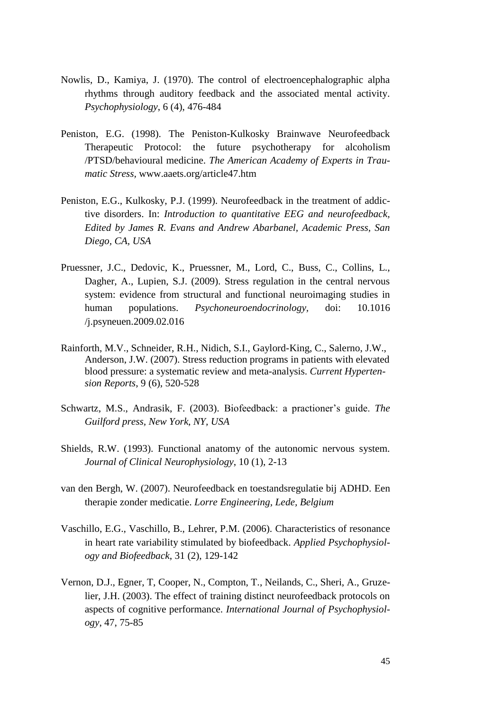- Nowlis, D., Kamiya, J. (1970). The control of electroencephalographic alpha rhythms through auditory feedback and the associated mental activity. *Psychophysiology*, 6 (4), 476-484
- Peniston, E.G. (1998). The Peniston-Kulkosky Brainwave Neurofeedback Therapeutic Protocol: the future psychotherapy for alcoholism /PTSD/behavioural medicine. *The American Academy of Experts in Traumatic Stress,* www.aaets.org/article47.htm
- Peniston, E.G., Kulkosky, P.J. (1999). Neurofeedback in the treatment of addictive disorders. In: *Introduction to quantitative EEG and neurofeedback, Edited by James R. Evans and Andrew Abarbanel, Academic Press, San Diego, CA, USA*
- Pruessner, J.C., Dedovic, K., Pruessner, M., Lord, C., Buss, C., Collins, L., Dagher, A., Lupien, S.J. (2009). Stress regulation in the central nervous system: evidence from structural and functional neuroimaging studies in human populations. *Psychoneuroendocrinology,* doi: 10.1016 /j.psyneuen.2009.02.016
- Rainforth, M.V., Schneider, R.H., Nidich, S.I., Gaylord-King, C., Salerno, J.W., Anderson, J.W. (2007). Stress reduction programs in patients with elevated blood pressure: a systematic review and meta-analysis. *Current Hypertension Reports*, 9 (6), 520-528
- Schwartz, M.S., Andrasik, F. (2003). Biofeedback: a practioner's guide. *The Guilford press, New York, NY, USA*
- Shields, R.W. (1993). Functional anatomy of the autonomic nervous system. *Journal of Clinical Neurophysiology*, 10 (1), 2-13
- van den Bergh, W. (2007). Neurofeedback en toestandsregulatie bij ADHD. Een therapie zonder medicatie. *Lorre Engineering, Lede, Belgium*
- Vaschillo, E.G., Vaschillo, B., Lehrer, P.M. (2006). Characteristics of resonance in heart rate variability stimulated by biofeedback. *Applied Psychophysiology and Biofeedback*, 31 (2), 129-142
- Vernon, D.J., Egner, T, Cooper, N., Compton, T., Neilands, C., Sheri, A., Gruzelier, J.H. (2003). The effect of training distinct neurofeedback protocols on aspects of cognitive performance. *International Journal of Psychophysiology*, 47, 75-85